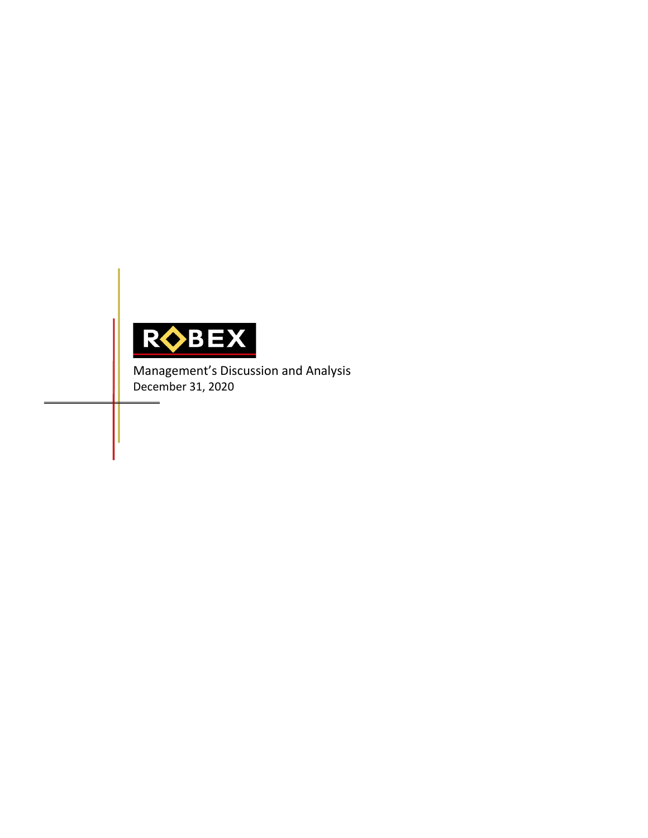

Management's Discussion and Analysis December 31, 2020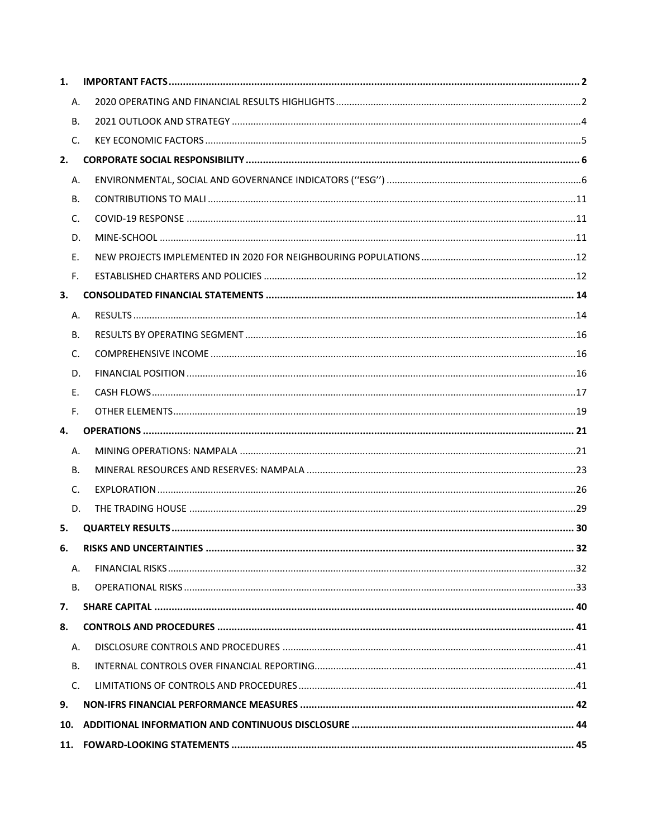| 1.             |                                |    |
|----------------|--------------------------------|----|
| А.             |                                |    |
| <b>B.</b>      |                                |    |
| C.             |                                |    |
| 2.             |                                |    |
| Α.             |                                |    |
| <b>B.</b>      |                                |    |
| C.             |                                |    |
| D.             |                                |    |
| Ε.             |                                |    |
| F.             |                                |    |
| 3.             |                                |    |
| Α.             |                                |    |
| В.             |                                |    |
| C.             |                                |    |
| D.             |                                |    |
| Ε.             |                                |    |
| F <sub>1</sub> |                                |    |
| 4.             |                                |    |
| А.             |                                |    |
| В.             |                                |    |
| C.             |                                |    |
| D.             |                                |    |
| 5.             |                                |    |
| 6.             | <b>RISKS AND UNCERTAINTIES</b> | 32 |
| Α.             |                                |    |
| <b>B.</b>      |                                |    |
| 7.             |                                |    |
| 8.             |                                |    |
| А.             |                                |    |
| <b>B.</b>      |                                |    |
| $C_{1}$        |                                |    |
| 9.             |                                |    |
| 10.            |                                |    |
| 11.            |                                |    |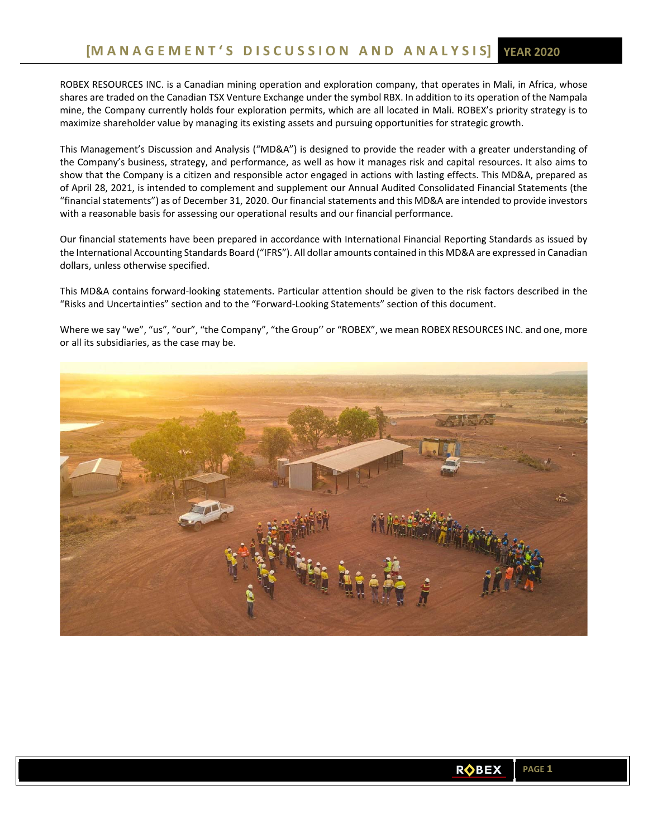ROBEX RESOURCES INC. is a Canadian mining operation and exploration company, that operates in Mali, in Africa, whose shares are traded on the Canadian TSX Venture Exchange under the symbol RBX. In addition to its operation of the Nampala mine, the Company currently holds four exploration permits, which are all located in Mali. ROBEX's priority strategy is to maximize shareholder value by managing its existing assets and pursuing opportunities for strategic growth.

This Management's Discussion and Analysis ("MD&A") is designed to provide the reader with a greater understanding of the Company's business, strategy, and performance, as well as how it manages risk and capital resources. It also aims to show that the Company is a citizen and responsible actor engaged in actions with lasting effects. This MD&A, prepared as of April 28, 2021, is intended to complement and supplement our Annual Audited Consolidated Financial Statements (the "financial statements") as of December 31, 2020. Our financial statements and this MD&A are intended to provide investors with a reasonable basis for assessing our operational results and our financial performance.

Our financial statements have been prepared in accordance with International Financial Reporting Standards as issued by the International Accounting Standards Board ("IFRS"). All dollar amounts contained in this MD&A are expressed in Canadian dollars, unless otherwise specified.

This MD&A contains forward‐looking statements. Particular attention should be given to the risk factors described in the "Risks and Uncertainties" section and to the "Forward‐Looking Statements" section of this document.

Where we say "we", "us", "our", "the Company", "the Group'' or "ROBEX", we mean ROBEX RESOURCES INC. and one, more or all its subsidiaries, as the case may be.

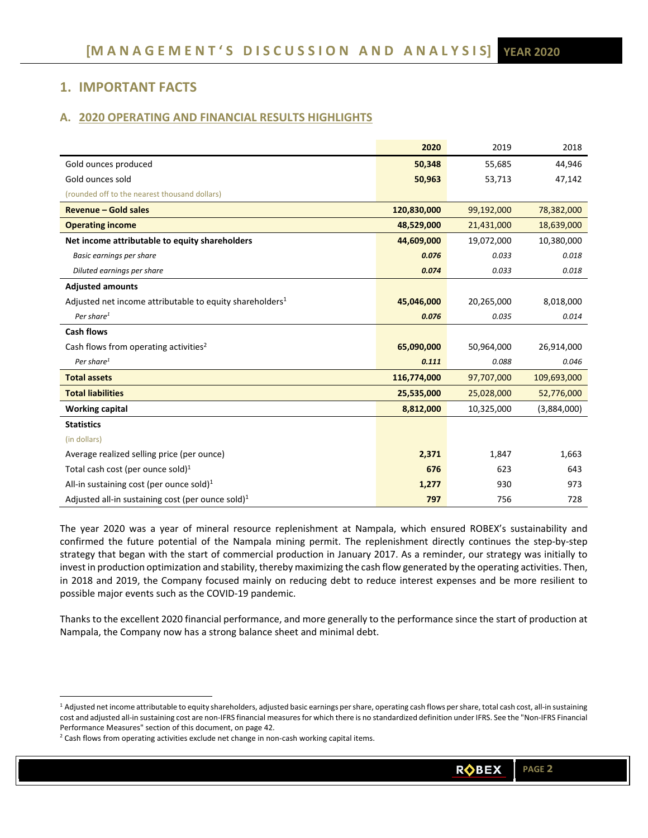# **1. IMPORTANT FACTS**

# **A. 2020 OPERATING AND FINANCIAL RESULTS HIGHLIGHTS**

|                                                                      | 2020        | 2019       | 2018        |
|----------------------------------------------------------------------|-------------|------------|-------------|
| Gold ounces produced                                                 | 50,348      | 55,685     | 44,946      |
| Gold ounces sold                                                     | 50,963      | 53,713     | 47,142      |
| (rounded off to the nearest thousand dollars)                        |             |            |             |
| <b>Revenue - Gold sales</b>                                          | 120,830,000 | 99,192,000 | 78,382,000  |
| <b>Operating income</b>                                              | 48,529,000  | 21,431,000 | 18,639,000  |
| Net income attributable to equity shareholders                       | 44,609,000  | 19,072,000 | 10,380,000  |
| Basic earnings per share                                             | 0.076       | 0.033      | 0.018       |
| Diluted earnings per share                                           | 0.074       | 0.033      | 0.018       |
| <b>Adjusted amounts</b>                                              |             |            |             |
| Adjusted net income attributable to equity shareholders <sup>1</sup> | 45,046,000  | 20,265,000 | 8,018,000   |
| Per share <sup>1</sup>                                               | 0.076       | 0.035      | 0.014       |
| <b>Cash flows</b>                                                    |             |            |             |
| Cash flows from operating activities <sup>2</sup>                    | 65,090,000  | 50,964,000 | 26,914,000  |
| Per share <sup>1</sup>                                               | 0.111       | 0.088      | 0.046       |
| <b>Total assets</b>                                                  | 116,774,000 | 97,707,000 | 109,693,000 |
| <b>Total liabilities</b>                                             | 25,535,000  | 25,028,000 | 52,776,000  |
| <b>Working capital</b>                                               | 8,812,000   | 10,325,000 | (3,884,000) |
| <b>Statistics</b>                                                    |             |            |             |
| (in dollars)                                                         |             |            |             |
| Average realized selling price (per ounce)                           | 2,371       | 1,847      | 1,663       |
| Total cash cost (per ounce sold) <sup>1</sup>                        | 676         | 623        | 643         |
| All-in sustaining cost (per ounce sold) $1$                          | 1,277       | 930        | 973         |
| Adjusted all-in sustaining cost (per ounce sold) <sup>1</sup>        | 797         | 756        | 728         |

The year 2020 was a year of mineral resource replenishment at Nampala, which ensured ROBEX's sustainability and confirmed the future potential of the Nampala mining permit. The replenishment directly continues the step‐by‐step strategy that began with the start of commercial production in January 2017. As a reminder, our strategy was initially to invest in production optimization and stability, thereby maximizing the cash flow generated by the operating activities. Then, in 2018 and 2019, the Company focused mainly on reducing debt to reduce interest expenses and be more resilient to possible major events such as the COVID‐19 pandemic.

Thanks to the excellent 2020 financial performance, and more generally to the performance since the start of production at Nampala, the Company now has a strong balance sheet and minimal debt.

<sup>1</sup> Adjusted net income attributable to equity shareholders, adjusted basic earnings per share, operating cash flows per share, total cash cost, all-in sustaining cost and adjusted all-in sustaining cost are non-IFRS financial measures for which there is no standardized definition under IFRS. See the "Non-IFRS Financial Performance Measures" section of this document, on page 42.

 $2$  Cash flows from operating activities exclude net change in non-cash working capital items.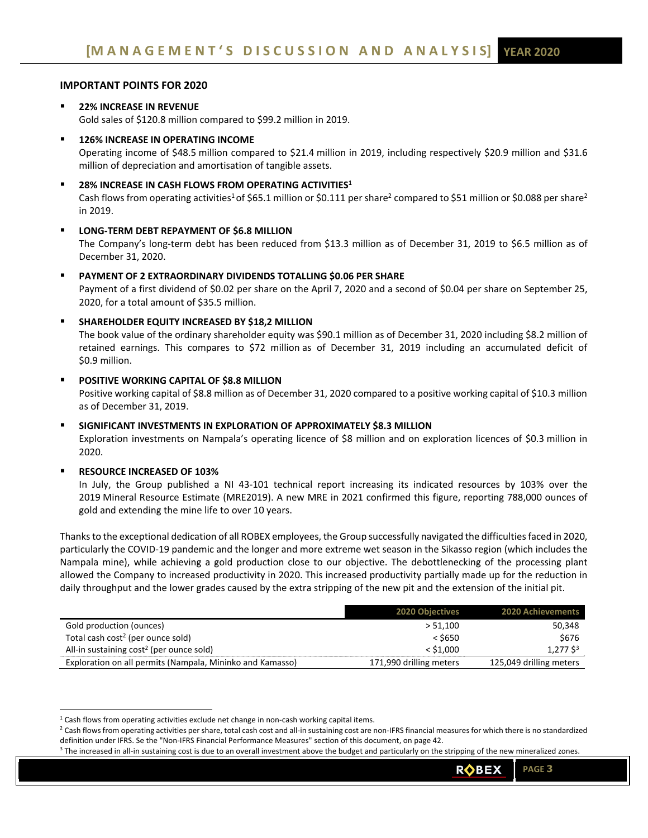# **IMPORTANT POINTS FOR 2020**

- **22% INCREASE IN REVENUE**  Gold sales of \$120.8 million compared to \$99.2 million in 2019.
- **126% INCREASE IN OPERATING INCOME**  Operating income of \$48.5 million compared to \$21.4 million in 2019, including respectively \$20.9 million and \$31.6 million of depreciation and amortisation of tangible assets.
- **28% INCREASE IN CASH FLOWS FROM OPERATING ACTIVITIES1**

Cash flows from operating activities<sup>1</sup> of \$65.1 million or \$0.111 per share<sup>2</sup> compared to \$51 million or \$0.088 per share<sup>2</sup> in 2019.

# **LONG‐TERM DEBT REPAYMENT OF \$6.8 MILLION**

The Company's long-term debt has been reduced from \$13.3 million as of December 31, 2019 to \$6.5 million as of December 31, 2020.

 **PAYMENT OF 2 EXTRAORDINARY DIVIDENDS TOTALLING \$0.06 PER SHARE**  Payment of a first dividend of \$0.02 per share on the April 7, 2020 and a second of \$0.04 per share on September 25, 2020, for a total amount of \$35.5 million.

# **SHAREHOLDER EQUITY INCREASED BY \$18,2 MILLION**

The book value of the ordinary shareholder equity was \$90.1 million as of December 31, 2020 including \$8.2 million of retained earnings. This compares to \$72 million as of December 31, 2019 including an accumulated deficit of \$0.9 million.

# **POSITIVE WORKING CAPITAL OF \$8.8 MILLION**

Positive working capital of \$8.8 million as of December 31, 2020 compared to a positive working capital of \$10.3 million as of December 31, 2019.

### **SIGNIFICANT INVESTMENTS IN EXPLORATION OF APPROXIMATELY \$8.3 MILLION**

Exploration investments on Nampala's operating licence of \$8 million and on exploration licences of \$0.3 million in 2020.

### **RESOURCE INCREASED OF 103%**

In July, the Group published a NI 43-101 technical report increasing its indicated resources by 103% over the 2019 Mineral Resource Estimate (MRE2019). A new MRE in 2021 confirmed this figure, reporting 788,000 ounces of gold and extending the mine life to over 10 years.

Thanks to the exceptional dedication of all ROBEX employees, the Group successfully navigated the difficulties faced in 2020, particularly the COVID‐19 pandemic and the longer and more extreme wet season in the Sikasso region (which includes the Nampala mine), while achieving a gold production close to our objective. The debottlenecking of the processing plant allowed the Company to increased productivity in 2020. This increased productivity partially made up for the reduction in daily throughput and the lower grades caused by the extra stripping of the new pit and the extension of the initial pit.

|                                                           | <b>2020 Objectives</b>  | <b>2020 Achievements</b> |
|-----------------------------------------------------------|-------------------------|--------------------------|
| Gold production (ounces)                                  | > 51.100                | 50,348                   |
| Total cash cost <sup>2</sup> (per ounce sold)             | $<$ \$650               | \$676                    |
| All-in sustaining cost <sup>2</sup> (per ounce sold)      | $<$ \$1.000             | $1,277$ \$ <sup>3</sup>  |
| Exploration on all permits (Nampala, Mininko and Kamasso) | 171,990 drilling meters | 125,049 drilling meters  |

 $<sup>1</sup>$  Cash flows from operating activities exclude net change in non-cash working capital items.</sup>

 $^2$  Cash flows from operating activities per share, total cash cost and all-in sustaining cost are non-IFRS financial measures for which there is no standardized definition under IFRS. Se the "Non‐IFRS Financial Performance Measures" section of this document, on page 42.

<sup>&</sup>lt;sup>3</sup> The increased in all-in sustaining cost is due to an overall investment above the budget and particularly on the stripping of the new mineralized zones.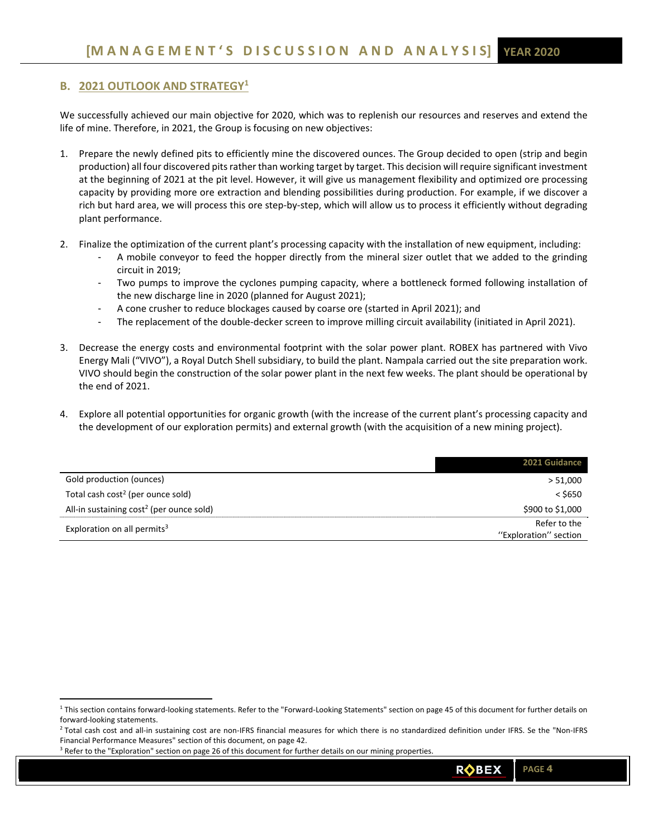# **B. 2021 OUTLOOK AND STRATEGY1**

We successfully achieved our main objective for 2020, which was to replenish our resources and reserves and extend the life of mine. Therefore, in 2021, the Group is focusing on new objectives:

- 1. Prepare the newly defined pits to efficiently mine the discovered ounces. The Group decided to open (strip and begin production) all four discovered pits rather than working target by target. This decision will require significant investment at the beginning of 2021 at the pit level. However, it will give us management flexibility and optimized ore processing capacity by providing more ore extraction and blending possibilities during production. For example, if we discover a rich but hard area, we will process this ore step‐by‐step, which will allow us to process it efficiently without degrading plant performance.
- 2. Finalize the optimization of the current plant's processing capacity with the installation of new equipment, including:
	- ‐ A mobile conveyor to feed the hopper directly from the mineral sizer outlet that we added to the grinding circuit in 2019;
	- Two pumps to improve the cyclones pumping capacity, where a bottleneck formed following installation of the new discharge line in 2020 (planned for August 2021);
	- ‐ A cone crusher to reduce blockages caused by coarse ore (started in April 2021); and
	- The replacement of the double-decker screen to improve milling circuit availability (initiated in April 2021).
- 3. Decrease the energy costs and environmental footprint with the solar power plant. ROBEX has partnered with Vivo Energy Mali ("VIVO"), a Royal Dutch Shell subsidiary, to build the plant. Nampala carried out the site preparation work. VIVO should begin the construction of the solar power plant in the next few weeks. The plant should be operational by the end of 2021.
- 4. Explore all potential opportunities for organic growth (with the increase of the current plant's processing capacity and the development of our exploration permits) and external growth (with the acquisition of a new mining project).

|                                                      | 2021 Guidance         |
|------------------------------------------------------|-----------------------|
| Gold production (ounces)                             | > 51,000              |
| Total cash cost <sup>2</sup> (per ounce sold)        | $<$ \$650             |
| All-in sustaining cost <sup>2</sup> (per ounce sold) | \$900 to \$1,000      |
| Exploration on all permits <sup>3</sup>              | Refer to the          |
|                                                      | "Exploration" section |

<sup>&</sup>lt;sup>1</sup> This section contains forward-looking statements. Refer to the "Forward-Looking Statements" section on page 45 of this document for further details on forward‐looking statements.

<sup>&</sup>lt;sup>2</sup> Total cash cost and all-in sustaining cost are non-IFRS financial measures for which there is no standardized definition under IFRS. Se the "Non-IFRS Financial Performance Measures" section of this document, on page 42.

<sup>&</sup>lt;sup>3</sup> Refer to the "Exploration" section on page 26 of this document for further details on our mining properties.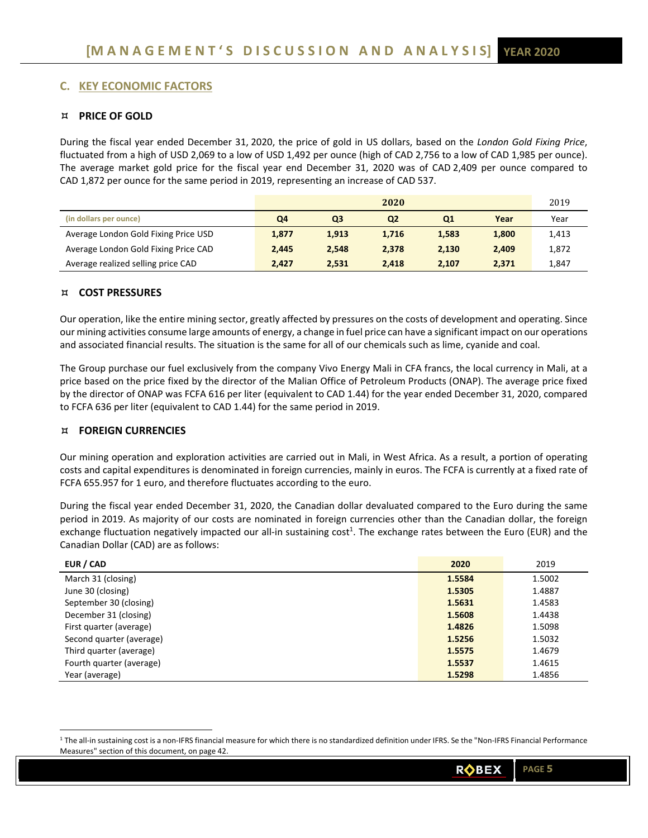# **C. KEY ECONOMIC FACTORS**

# **PRICE OF GOLD**

During the fiscal year ended December 31, 2020, the price of gold in US dollars, based on the *London Gold Fixing Price*, fluctuated from a high of USD 2,069 to a low of USD 1,492 per ounce (high of CAD 2,756 to a low of CAD 1,985 per ounce). The average market gold price for the fiscal year end December 31, 2020 was of CAD 2,409 per ounce compared to CAD 1,872 per ounce for the same period in 2019, representing an increase of CAD 537.

|                                      |       |                | 2020           |                |       | 2019  |
|--------------------------------------|-------|----------------|----------------|----------------|-------|-------|
| (in dollars per ounce)               | Q4    | Q <sub>3</sub> | Q <sub>2</sub> | Q <sub>1</sub> | Year  | Year  |
| Average London Gold Fixing Price USD | 1,877 | 1,913          | 1,716          | 1.583          | 1,800 | 1,413 |
| Average London Gold Fixing Price CAD | 2,445 | 2.548          | 2,378          | 2.130          | 2.409 | 1,872 |
| Average realized selling price CAD   | 2,427 | 2.531          | 2.418          | 2.107          | 2,371 | 1,847 |

# **COST PRESSURES**

Our operation, like the entire mining sector, greatly affected by pressures on the costs of development and operating. Since our mining activities consume large amounts of energy, a change in fuel price can have a significant impact on our operations and associated financial results. The situation is the same for all of our chemicals such as lime, cyanide and coal.

The Group purchase our fuel exclusively from the company Vivo Energy Mali in CFA francs, the local currency in Mali, at a price based on the price fixed by the director of the Malian Office of Petroleum Products (ONAP). The average price fixed by the director of ONAP was FCFA 616 per liter (equivalent to CAD 1.44) for the year ended December 31, 2020, compared to FCFA 636 per liter (equivalent to CAD 1.44) for the same period in 2019.

# **FOREIGN CURRENCIES**

Our mining operation and exploration activities are carried out in Mali, in West Africa. As a result, a portion of operating costs and capital expenditures is denominated in foreign currencies, mainly in euros. The FCFA is currently at a fixed rate of FCFA 655.957 for 1 euro, and therefore fluctuates according to the euro.

During the fiscal year ended December 31, 2020, the Canadian dollar devaluated compared to the Euro during the same period in 2019. As majority of our costs are nominated in foreign currencies other than the Canadian dollar, the foreign exchange fluctuation negatively impacted our all-in sustaining cost<sup>1</sup>. The exchange rates between the Euro (EUR) and the Canadian Dollar (CAD) are as follows:

| EUR / CAD                | 2020   | 2019   |
|--------------------------|--------|--------|
| March 31 (closing)       | 1.5584 | 1.5002 |
| June 30 (closing)        | 1.5305 | 1.4887 |
| September 30 (closing)   | 1.5631 | 1.4583 |
| December 31 (closing)    | 1.5608 | 1.4438 |
| First quarter (average)  | 1.4826 | 1.5098 |
| Second quarter (average) | 1.5256 | 1.5032 |
| Third quarter (average)  | 1.5575 | 1.4679 |
| Fourth quarter (average) | 1.5537 | 1.4615 |
| Year (average)           | 1.5298 | 1.4856 |

<sup>&</sup>lt;sup>1</sup> The all-in sustaining cost is a non-IFRS financial measure for which there is no standardized definition under IFRS. Se the "Non-IFRS Financial Performance Measures" section of this document, on page 42.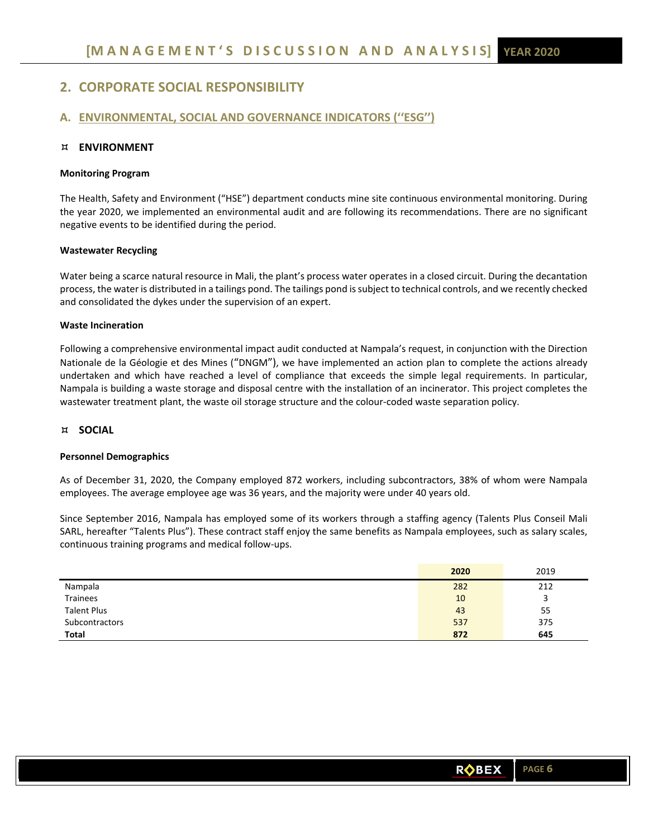# **2. CORPORATE SOCIAL RESPONSIBILITY**

# **A. ENVIRONMENTAL, SOCIAL AND GOVERNANCE INDICATORS (''ESG'')**

## **ENVIRONMENT**

### **Monitoring Program**

The Health, Safety and Environment ("HSE") department conducts mine site continuous environmental monitoring. During the year 2020, we implemented an environmental audit and are following its recommendations. There are no significant negative events to be identified during the period.

### **Wastewater Recycling**

Water being a scarce natural resource in Mali, the plant's process water operates in a closed circuit. During the decantation process, the water is distributed in a tailings pond. The tailings pond is subject to technical controls, and we recently checked and consolidated the dykes under the supervision of an expert.

# **Waste Incineration**

Following a comprehensive environmental impact audit conducted at Nampala's request, in conjunction with the Direction Nationale de la Géologie et des Mines ("DNGM"), we have implemented an action plan to complete the actions already undertaken and which have reached a level of compliance that exceeds the simple legal requirements. In particular, Nampala is building a waste storage and disposal centre with the installation of an incinerator. This project completes the wastewater treatment plant, the waste oil storage structure and the colour‐coded waste separation policy.

## **SOCIAL**

### **Personnel Demographics**

As of December 31, 2020, the Company employed 872 workers, including subcontractors, 38% of whom were Nampala employees. The average employee age was 36 years, and the majority were under 40 years old.

Since September 2016, Nampala has employed some of its workers through a staffing agency (Talents Plus Conseil Mali SARL, hereafter "Talents Plus"). These contract staff enjoy the same benefits as Nampala employees, such as salary scales, continuous training programs and medical follow‐ups.

|                    | 2020 | 2019 |
|--------------------|------|------|
| Nampala            | 282  | 212  |
| <b>Trainees</b>    | 10   | 3    |
| <b>Talent Plus</b> | 43   | 55   |
| Subcontractors     | 537  | 375  |
| <b>Total</b>       | 872  | 645  |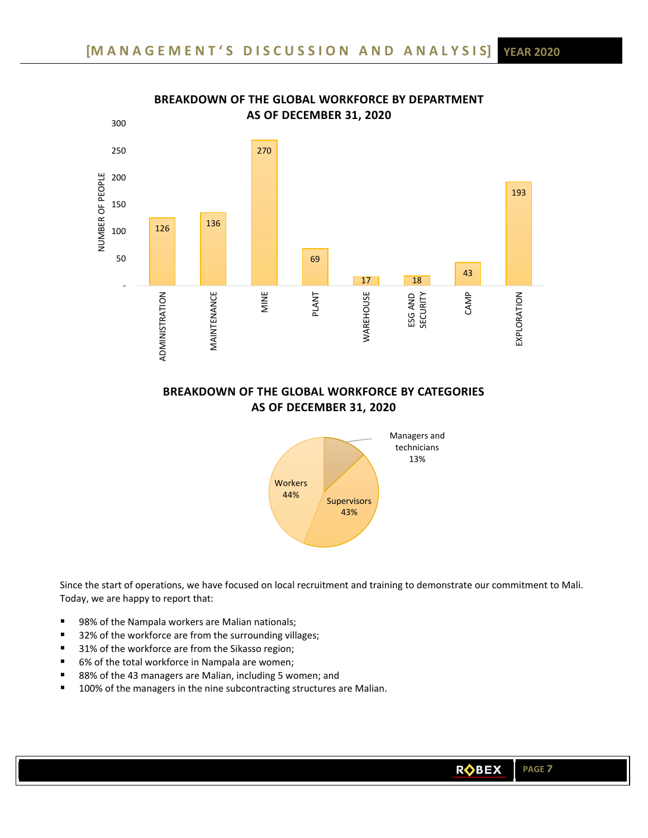

# **BREAKDOWN OF THE GLOBAL WORKFORCE BY DEPARTMENT AS OF DECEMBER 31, 2020**

# **BREAKDOWN OF THE GLOBAL WORKFORCE BY CATEGORIES AS OF DECEMBER 31, 2020**



Since the start of operations, we have focused on local recruitment and training to demonstrate our commitment to Mali. Today, we are happy to report that:

- 98% of the Nampala workers are Malian nationals;
- 32% of the workforce are from the surrounding villages;
- 31% of the workforce are from the Sikasso region;
- 6% of the total workforce in Nampala are women;
- 88% of the 43 managers are Malian, including 5 women; and
- 100% of the managers in the nine subcontracting structures are Malian.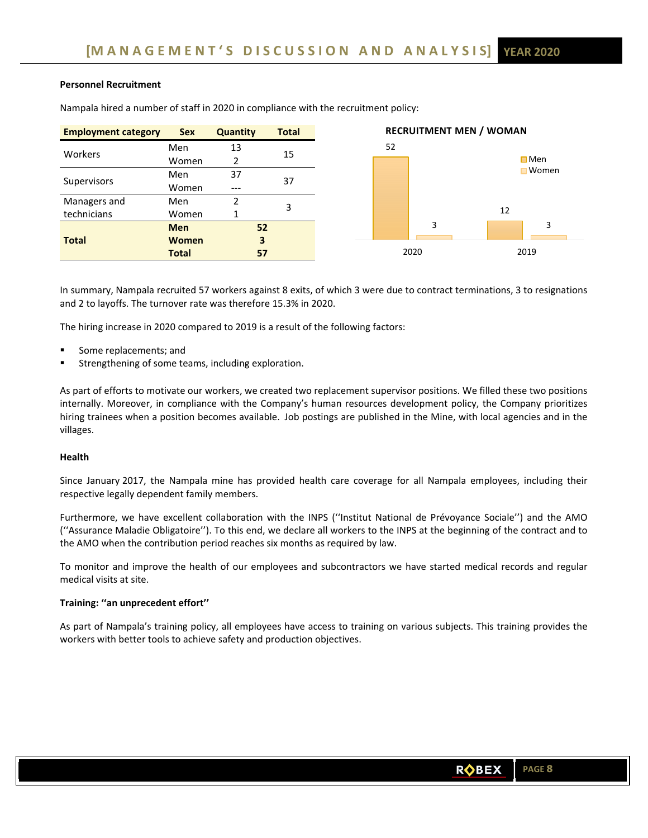# **Personnel Recruitment**

| <b>Employment category</b> | <b>Sex</b>   | <b>Quantity</b> | <b>Total</b> |    | <b>RECRUITMENT MEN / WOMAN</b> |               |
|----------------------------|--------------|-----------------|--------------|----|--------------------------------|---------------|
| Workers                    | Men          | 13              | 15           | 52 |                                |               |
|                            | Women        |                 |              |    |                                | $\square$ Men |
| Supervisors                | Men          | 37              | 37           |    |                                | <b>Women</b>  |
|                            | Women        | $---$           |              |    |                                |               |
| Managers and               | Men          |                 | 3            |    |                                |               |
| technicians                | Women        |                 |              |    |                                | 12            |
|                            | <b>Men</b>   |                 | 52           |    | 3                              | 3             |
| <b>Total</b>               | <b>Women</b> |                 | 3            |    |                                |               |
|                            | <b>Total</b> |                 | 57           |    | 2020                           | 2019          |

Nampala hired a number of staff in 2020 in compliance with the recruitment policy:

In summary, Nampala recruited 57 workers against 8 exits, of which 3 were due to contract terminations, 3 to resignations and 2 to layoffs. The turnover rate was therefore 15.3% in 2020.

The hiring increase in 2020 compared to 2019 is a result of the following factors:

- Some replacements; and
- Strengthening of some teams, including exploration.

As part of efforts to motivate our workers, we created two replacement supervisor positions. We filled these two positions internally. Moreover, in compliance with the Company's human resources development policy, the Company prioritizes hiring trainees when a position becomes available. Job postings are published in the Mine, with local agencies and in the villages.

### **Health**

Since January 2017, the Nampala mine has provided health care coverage for all Nampala employees, including their respective legally dependent family members.

Furthermore, we have excellent collaboration with the INPS (''Institut National de Prévoyance Sociale'') and the AMO (''Assurance Maladie Obligatoire''). To this end, we declare all workers to the INPS at the beginning of the contract and to the AMO when the contribution period reaches six months as required by law.

To monitor and improve the health of our employees and subcontractors we have started medical records and regular medical visits at site.

### **Training: ''an unprecedent effort''**

As part of Nampala's training policy, all employees have access to training on various subjects. This training provides the workers with better tools to achieve safety and production objectives.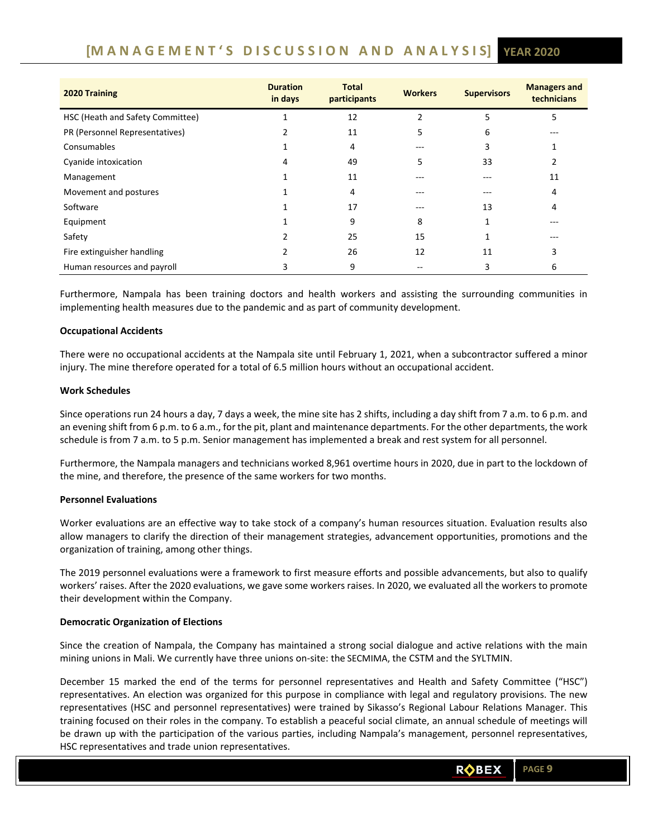# **[M A N A G E M E N T ' S D I S C U S S I O N A N D A N A L Y S I S] YEAR 2020**

| 2020 Training                    | <b>Duration</b><br>in days | <b>Total</b><br>participants | <b>Workers</b> | <b>Supervisors</b> | <b>Managers and</b><br>technicians |
|----------------------------------|----------------------------|------------------------------|----------------|--------------------|------------------------------------|
| HSC (Heath and Safety Committee) |                            | 12                           |                | ר                  | כ                                  |
| PR (Personnel Representatives)   |                            | 11                           |                | 6                  |                                    |
| Consumables                      |                            | 4                            |                |                    |                                    |
| Cyanide intoxication             |                            | 49                           | 5              | 33                 |                                    |
| Management                       |                            | 11                           |                |                    | 11                                 |
| Movement and postures            |                            | 4                            |                | ---                | 4                                  |
| Software                         |                            | 17                           | ---            | 13                 | 4                                  |
| Equipment                        |                            | 9                            | 8              |                    | ---                                |
| Safety                           |                            | 25                           | 15             |                    |                                    |
| Fire extinguisher handling       |                            | 26                           | 12             | 11                 |                                    |
| Human resources and payroll      |                            | 9                            |                |                    | 6                                  |

Furthermore, Nampala has been training doctors and health workers and assisting the surrounding communities in implementing health measures due to the pandemic and as part of community development.

### **Occupational Accidents**

There were no occupational accidents at the Nampala site until February 1, 2021, when a subcontractor suffered a minor injury. The mine therefore operated for a total of 6.5 million hours without an occupational accident.

### **Work Schedules**

Since operations run 24 hours a day, 7 days a week, the mine site has 2 shifts, including a day shift from 7 a.m. to 6 p.m. and an evening shift from 6 p.m. to 6 a.m., for the pit, plant and maintenance departments. For the other departments, the work schedule is from 7 a.m. to 5 p.m. Senior management has implemented a break and rest system for all personnel.

Furthermore, the Nampala managers and technicians worked 8,961 overtime hours in 2020, due in part to the lockdown of the mine, and therefore, the presence of the same workers for two months.

### **Personnel Evaluations**

Worker evaluations are an effective way to take stock of a company's human resources situation. Evaluation results also allow managers to clarify the direction of their management strategies, advancement opportunities, promotions and the organization of training, among other things.

The 2019 personnel evaluations were a framework to first measure efforts and possible advancements, but also to qualify workers' raises. After the 2020 evaluations, we gave some workers raises. In 2020, we evaluated all the workers to promote their development within the Company.

### **Democratic Organization of Elections**

Since the creation of Nampala, the Company has maintained a strong social dialogue and active relations with the main mining unions in Mali. We currently have three unions on‐site: the SECMIMA, the CSTM and the SYLTMIN.

December 15 marked the end of the terms for personnel representatives and Health and Safety Committee ("HSC") representatives. An election was organized for this purpose in compliance with legal and regulatory provisions. The new representatives (HSC and personnel representatives) were trained by Sikasso's Regional Labour Relations Manager. This training focused on their roles in the company. To establish a peaceful social climate, an annual schedule of meetings will be drawn up with the participation of the various parties, including Nampala's management, personnel representatives, HSC representatives and trade union representatives.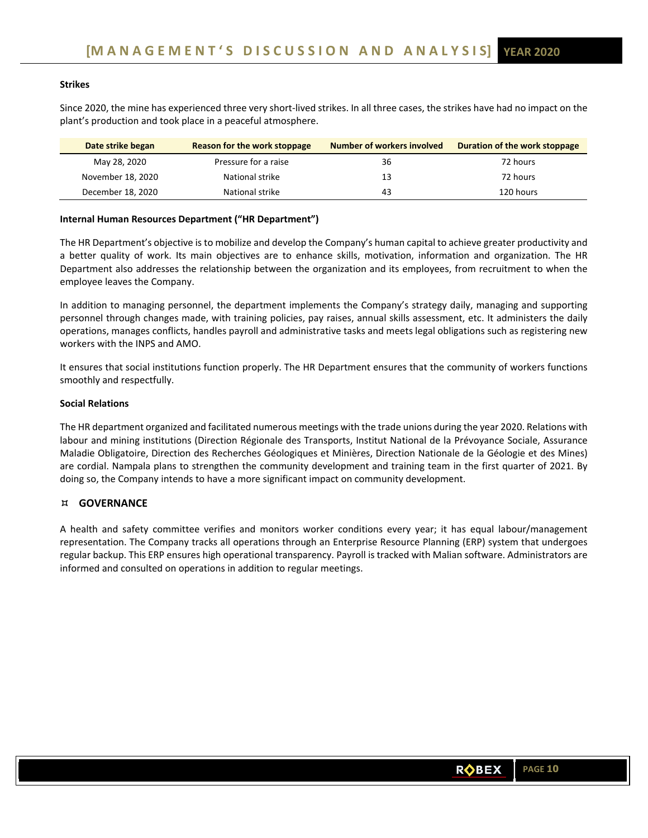# **Strikes**

Since 2020, the mine has experienced three very short-lived strikes. In all three cases, the strikes have had no impact on the plant's production and took place in a peaceful atmosphere.

| Date strike began | Reason for the work stoppage | Number of workers involved | Duration of the work stoppage |
|-------------------|------------------------------|----------------------------|-------------------------------|
| May 28, 2020      | Pressure for a raise         | 36                         | 72 hours                      |
| November 18, 2020 | National strike              | 13                         | 72 hours                      |
| December 18, 2020 | National strike              | 43                         | 120 hours                     |

### **Internal Human Resources Department ("HR Department")**

The HR Department's objective is to mobilize and develop the Company's human capital to achieve greater productivity and a better quality of work. Its main objectives are to enhance skills, motivation, information and organization. The HR Department also addresses the relationship between the organization and its employees, from recruitment to when the employee leaves the Company.

In addition to managing personnel, the department implements the Company's strategy daily, managing and supporting personnel through changes made, with training policies, pay raises, annual skills assessment, etc. It administers the daily operations, manages conflicts, handles payroll and administrative tasks and meets legal obligations such as registering new workers with the INPS and AMO.

It ensures that social institutions function properly. The HR Department ensures that the community of workers functions smoothly and respectfully.

### **Social Relations**

The HR department organized and facilitated numerous meetings with the trade unions during the year 2020. Relations with labour and mining institutions (Direction Régionale des Transports, Institut National de la Prévoyance Sociale, Assurance Maladie Obligatoire, Direction des Recherches Géologiques et Minières, Direction Nationale de la Géologie et des Mines) are cordial. Nampala plans to strengthen the community development and training team in the first quarter of 2021. By doing so, the Company intends to have a more significant impact on community development.

### **GOVERNANCE**

A health and safety committee verifies and monitors worker conditions every year; it has equal labour/management representation. The Company tracks all operations through an Enterprise Resource Planning (ERP) system that undergoes regular backup. This ERP ensures high operational transparency. Payroll is tracked with Malian software. Administrators are informed and consulted on operations in addition to regular meetings.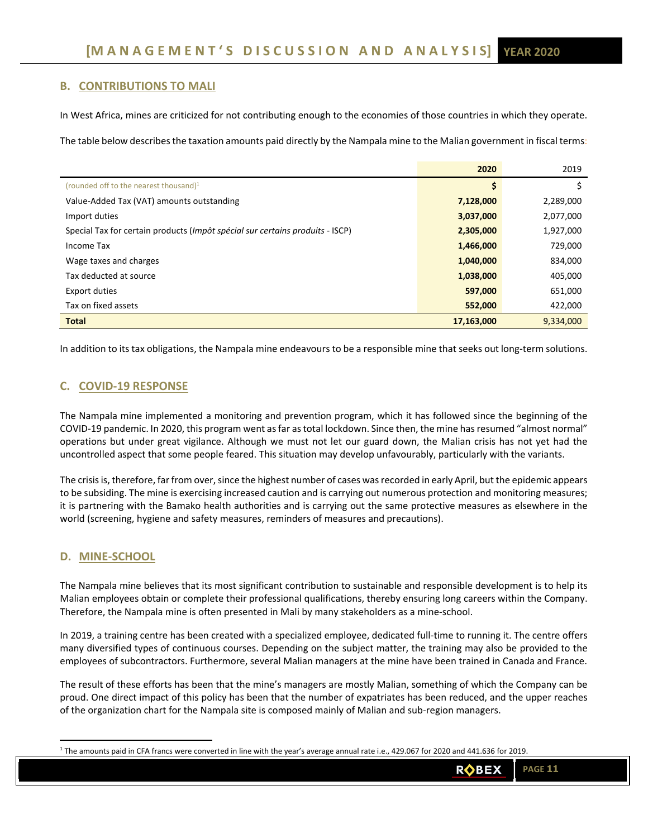# **B. CONTRIBUTIONS TO MALI**

In West Africa, mines are criticized for not contributing enough to the economies of those countries in which they operate.

The table below describes the taxation amounts paid directly by the Nampala mine to the Malian government in fiscal terms:

|                                                                               | 2020       | 2019      |
|-------------------------------------------------------------------------------|------------|-----------|
| (rounded off to the nearest thousand) $1$                                     | s          |           |
| Value-Added Tax (VAT) amounts outstanding                                     | 7,128,000  | 2,289,000 |
| Import duties                                                                 | 3,037,000  | 2,077,000 |
| Special Tax for certain products (Impôt spécial sur certains produits - ISCP) | 2,305,000  | 1,927,000 |
| Income Tax                                                                    | 1,466,000  | 729,000   |
| Wage taxes and charges                                                        | 1,040,000  | 834,000   |
| Tax deducted at source                                                        | 1,038,000  | 405,000   |
| <b>Export duties</b>                                                          | 597,000    | 651,000   |
| Tax on fixed assets                                                           | 552,000    | 422,000   |
| <b>Total</b>                                                                  | 17,163,000 | 9,334,000 |

In addition to its tax obligations, the Nampala mine endeavours to be a responsible mine that seeks out long‐term solutions.

# **C. COVID‐19 RESPONSE**

The Nampala mine implemented a monitoring and prevention program, which it has followed since the beginning of the COVID‐19 pandemic. In 2020, this program went as far as total lockdown. Since then, the mine has resumed "almost normal" operations but under great vigilance. Although we must not let our guard down, the Malian crisis has not yet had the uncontrolled aspect that some people feared. This situation may develop unfavourably, particularly with the variants.

The crisis is, therefore, far from over, since the highest number of cases was recorded in early April, but the epidemic appears to be subsiding. The mine is exercising increased caution and is carrying out numerous protection and monitoring measures; it is partnering with the Bamako health authorities and is carrying out the same protective measures as elsewhere in the world (screening, hygiene and safety measures, reminders of measures and precautions).

# **D. MINE‐SCHOOL**

The Nampala mine believes that its most significant contribution to sustainable and responsible development is to help its Malian employees obtain or complete their professional qualifications, thereby ensuring long careers within the Company. Therefore, the Nampala mine is often presented in Mali by many stakeholders as a mine‐school.

In 2019, a training centre has been created with a specialized employee, dedicated full‐time to running it. The centre offers many diversified types of continuous courses. Depending on the subject matter, the training may also be provided to the employees of subcontractors. Furthermore, several Malian managers at the mine have been trained in Canada and France.

The result of these efforts has been that the mine's managers are mostly Malian, something of which the Company can be proud. One direct impact of this policy has been that the number of expatriates has been reduced, and the upper reaches of the organization chart for the Nampala site is composed mainly of Malian and sub‐region managers.

<sup>1</sup> The amounts paid in CFA francs were converted in line with the year's average annual rate i.e., 429.067 for 2020 and 441.636 for 2019.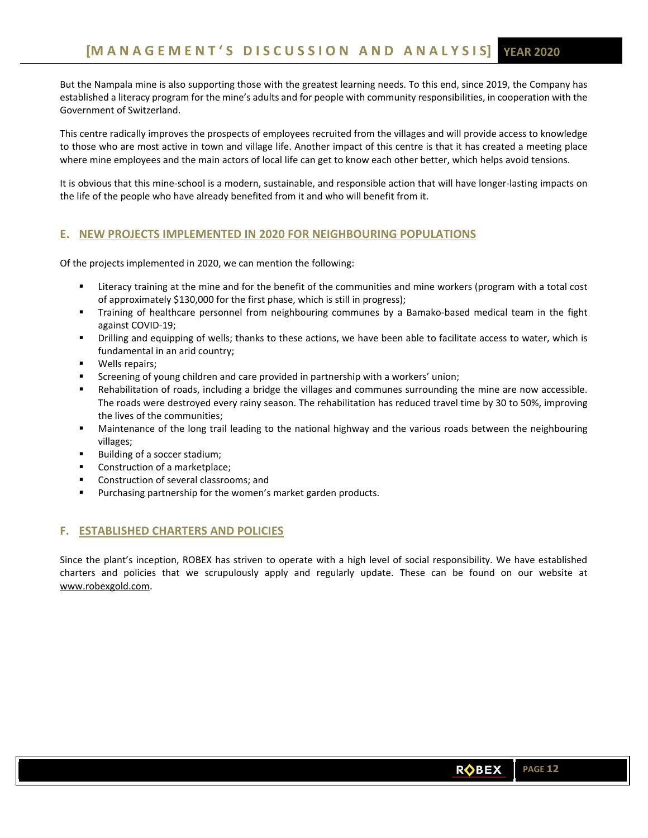But the Nampala mine is also supporting those with the greatest learning needs. To this end, since 2019, the Company has established a literacy program for the mine's adults and for people with community responsibilities, in cooperation with the Government of Switzerland.

This centre radically improves the prospects of employees recruited from the villages and will provide access to knowledge to those who are most active in town and village life. Another impact of this centre is that it has created a meeting place where mine employees and the main actors of local life can get to know each other better, which helps avoid tensions.

It is obvious that this mine‐school is a modern, sustainable, and responsible action that will have longer‐lasting impacts on the life of the people who have already benefited from it and who will benefit from it.

# **E. NEW PROJECTS IMPLEMENTED IN 2020 FOR NEIGHBOURING POPULATIONS**

Of the projects implemented in 2020, we can mention the following:

- Literacy training at the mine and for the benefit of the communities and mine workers (program with a total cost of approximately \$130,000 for the first phase, which is still in progress);
- Training of healthcare personnel from neighbouring communes by a Bamako-based medical team in the fight against COVID‐19;
- Drilling and equipping of wells; thanks to these actions, we have been able to facilitate access to water, which is fundamental in an arid country;
- **•** Wells repairs;
- **EXECTED SCREENING CHILD FOR CHILD FOR SCREENISH** SCREENING SCREENING SCREENING.
- Rehabilitation of roads, including a bridge the villages and communes surrounding the mine are now accessible. The roads were destroyed every rainy season. The rehabilitation has reduced travel time by 30 to 50%, improving the lives of the communities;
- Maintenance of the long trail leading to the national highway and the various roads between the neighbouring villages;
- Building of a soccer stadium;
- Construction of a marketplace;
- Construction of several classrooms; and
- **Purchasing partnership for the women's market garden products.**

# **F. ESTABLISHED CHARTERS AND POLICIES**

Since the plant's inception, ROBEX has striven to operate with a high level of social responsibility. We have established charters and policies that we scrupulously apply and regularly update. These can be found on our website at www.robexgold.com.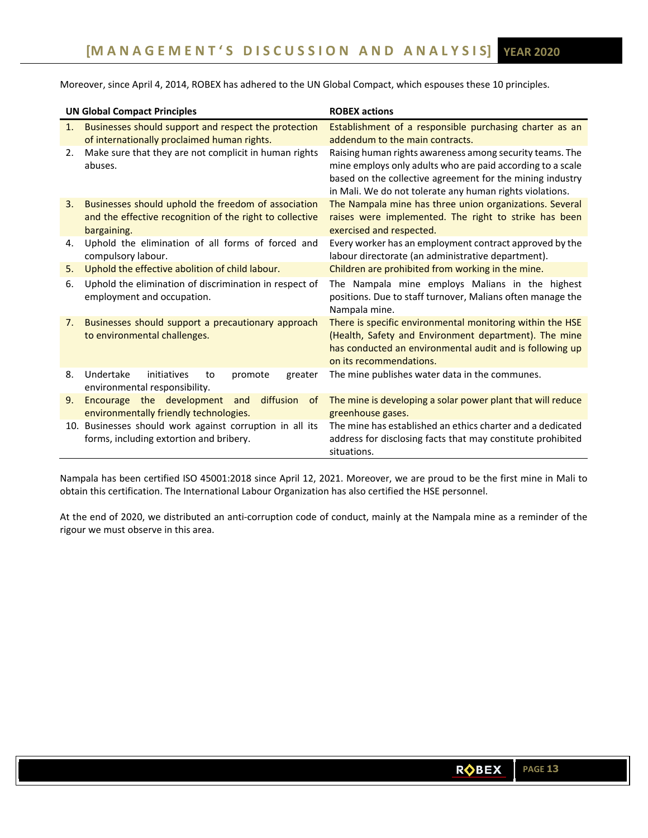Moreover, since April 4, 2014, ROBEX has adhered to the UN Global Compact, which espouses these 10 principles.

|    | <b>UN Global Compact Principles</b>                                                                                            | <b>ROBEX actions</b>                                                                                                                                                                                                                            |
|----|--------------------------------------------------------------------------------------------------------------------------------|-------------------------------------------------------------------------------------------------------------------------------------------------------------------------------------------------------------------------------------------------|
| 1. | Businesses should support and respect the protection<br>of internationally proclaimed human rights.                            | Establishment of a responsible purchasing charter as an<br>addendum to the main contracts.                                                                                                                                                      |
| 2. | Make sure that they are not complicit in human rights<br>abuses.                                                               | Raising human rights awareness among security teams. The<br>mine employs only adults who are paid according to a scale<br>based on the collective agreement for the mining industry<br>in Mali. We do not tolerate any human rights violations. |
| 3. | Businesses should uphold the freedom of association<br>and the effective recognition of the right to collective<br>bargaining. | The Nampala mine has three union organizations. Several<br>raises were implemented. The right to strike has been<br>exercised and respected.                                                                                                    |
| 4. | Uphold the elimination of all forms of forced and<br>compulsory labour.                                                        | Every worker has an employment contract approved by the<br>labour directorate (an administrative department).                                                                                                                                   |
| 5. | Uphold the effective abolition of child labour.                                                                                | Children are prohibited from working in the mine.                                                                                                                                                                                               |
| 6. | Uphold the elimination of discrimination in respect of<br>employment and occupation.                                           | The Nampala mine employs Malians in the highest<br>positions. Due to staff turnover, Malians often manage the<br>Nampala mine.                                                                                                                  |
| 7. | Businesses should support a precautionary approach<br>to environmental challenges.                                             | There is specific environmental monitoring within the HSE<br>(Health, Safety and Environment department). The mine<br>has conducted an environmental audit and is following up<br>on its recommendations.                                       |
| 8. | Undertake<br>initiatives<br>promote<br>greater<br>to<br>environmental responsibility.                                          | The mine publishes water data in the communes.                                                                                                                                                                                                  |
| 9. | Encourage the development<br>diffusion<br>and<br><sub>of</sub><br>environmentally friendly technologies.                       | The mine is developing a solar power plant that will reduce<br>greenhouse gases.                                                                                                                                                                |
|    | 10. Businesses should work against corruption in all its<br>forms, including extortion and bribery.                            | The mine has established an ethics charter and a dedicated<br>address for disclosing facts that may constitute prohibited<br>situations.                                                                                                        |

Nampala has been certified ISO 45001:2018 since April 12, 2021. Moreover, we are proud to be the first mine in Mali to obtain this certification. The International Labour Organization has also certified the HSE personnel.

At the end of 2020, we distributed an anti‐corruption code of conduct, mainly at the Nampala mine as a reminder of the rigour we must observe in this area.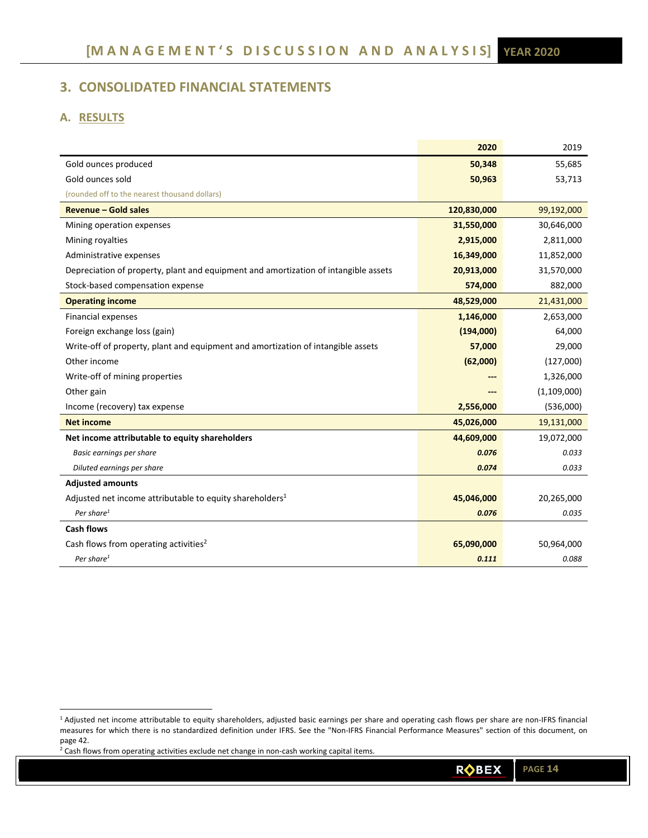# **3. CONSOLIDATED FINANCIAL STATEMENTS**

# **A. RESULTS**

|                                                                                     | 2020        | 2019        |
|-------------------------------------------------------------------------------------|-------------|-------------|
| Gold ounces produced                                                                | 50,348      | 55,685      |
| Gold ounces sold                                                                    | 50,963      | 53,713      |
| (rounded off to the nearest thousand dollars)                                       |             |             |
| <b>Revenue - Gold sales</b>                                                         | 120,830,000 | 99,192,000  |
| Mining operation expenses                                                           | 31,550,000  | 30,646,000  |
| Mining royalties                                                                    | 2,915,000   | 2,811,000   |
| Administrative expenses                                                             | 16,349,000  | 11,852,000  |
| Depreciation of property, plant and equipment and amortization of intangible assets | 20,913,000  | 31,570,000  |
| Stock-based compensation expense                                                    | 574,000     | 882,000     |
| <b>Operating income</b>                                                             | 48,529,000  | 21,431,000  |
| <b>Financial expenses</b>                                                           | 1,146,000   | 2,653,000   |
| Foreign exchange loss (gain)                                                        | (194,000)   | 64,000      |
| Write-off of property, plant and equipment and amortization of intangible assets    | 57,000      | 29,000      |
| Other income                                                                        | (62,000)    | (127,000)   |
| Write-off of mining properties                                                      |             | 1,326,000   |
| Other gain                                                                          |             | (1,109,000) |
| Income (recovery) tax expense                                                       | 2,556,000   | (536,000)   |
| <b>Net income</b>                                                                   | 45,026,000  | 19,131,000  |
| Net income attributable to equity shareholders                                      | 44,609,000  | 19,072,000  |
| Basic earnings per share                                                            | 0.076       | 0.033       |
| Diluted earnings per share                                                          | 0.074       | 0.033       |
| <b>Adjusted amounts</b>                                                             |             |             |
| Adjusted net income attributable to equity shareholders <sup>1</sup>                | 45,046,000  | 20,265,000  |
| Per share <sup>1</sup>                                                              | 0.076       | 0.035       |
| <b>Cash flows</b>                                                                   |             |             |
| Cash flows from operating activities <sup>2</sup>                                   | 65,090,000  | 50,964,000  |
| Per share <sup>1</sup>                                                              | 0.111       | 0.088       |

 $2$  Cash flows from operating activities exclude net change in non-cash working capital items.

<sup>&</sup>lt;sup>1</sup> Adjusted net income attributable to equity shareholders, adjusted basic earnings per share and operating cash flows per share are non-IFRS financial measures for which there is no standardized definition under IFRS. See the "Non-IFRS Financial Performance Measures" section of this document, on page 42.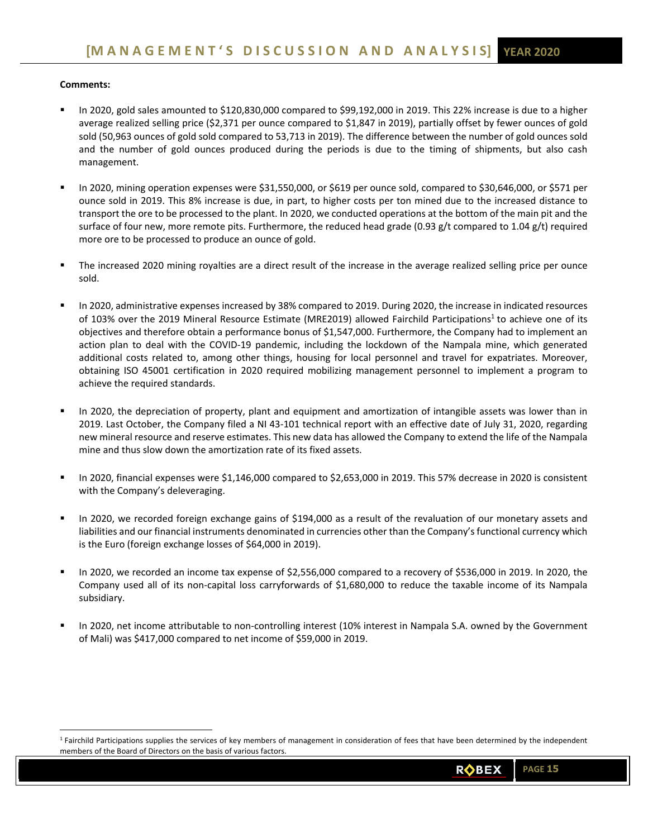# **Comments:**

- In 2020, gold sales amounted to \$120,830,000 compared to \$99,192,000 in 2019. This 22% increase is due to a higher average realized selling price (\$2,371 per ounce compared to \$1,847 in 2019), partially offset by fewer ounces of gold sold (50,963 ounces of gold sold compared to 53,713 in 2019). The difference between the number of gold ounces sold and the number of gold ounces produced during the periods is due to the timing of shipments, but also cash management.
- In 2020, mining operation expenses were \$31,550,000, or \$619 per ounce sold, compared to \$30,646,000, or \$571 per ounce sold in 2019. This 8% increase is due, in part, to higher costs per ton mined due to the increased distance to transport the ore to be processed to the plant. In 2020, we conducted operations at the bottom of the main pit and the surface of four new, more remote pits. Furthermore, the reduced head grade (0.93 g/t compared to 1.04 g/t) required more ore to be processed to produce an ounce of gold.
- The increased 2020 mining royalties are a direct result of the increase in the average realized selling price per ounce sold.
- In 2020, administrative expenses increased by 38% compared to 2019. During 2020, the increase in indicated resources of 103% over the 2019 Mineral Resource Estimate (MRE2019) allowed Fairchild Participations<sup>1</sup> to achieve one of its objectives and therefore obtain a performance bonus of \$1,547,000. Furthermore, the Company had to implement an action plan to deal with the COVID-19 pandemic, including the lockdown of the Nampala mine, which generated additional costs related to, among other things, housing for local personnel and travel for expatriates. Moreover, obtaining ISO 45001 certification in 2020 required mobilizing management personnel to implement a program to achieve the required standards.
- In 2020, the depreciation of property, plant and equipment and amortization of intangible assets was lower than in 2019. Last October, the Company filed a NI 43-101 technical report with an effective date of July 31, 2020, regarding new mineral resource and reserve estimates. This new data has allowed the Company to extend the life of the Nampala mine and thus slow down the amortization rate of its fixed assets.
- In 2020, financial expenses were \$1,146,000 compared to \$2,653,000 in 2019. This 57% decrease in 2020 is consistent with the Company's deleveraging.
- In 2020, we recorded foreign exchange gains of \$194,000 as a result of the revaluation of our monetary assets and liabilities and our financial instruments denominated in currencies other than the Company's functional currency which is the Euro (foreign exchange losses of \$64,000 in 2019).
- In 2020, we recorded an income tax expense of \$2,556,000 compared to a recovery of \$536,000 in 2019. In 2020, the Company used all of its non‐capital loss carryforwards of \$1,680,000 to reduce the taxable income of its Nampala subsidiary.
- In 2020, net income attributable to non-controlling interest (10% interest in Nampala S.A. owned by the Government of Mali) was \$417,000 compared to net income of \$59,000 in 2019.

<sup>&</sup>lt;sup>1</sup> Fairchild Participations supplies the services of key members of management in consideration of fees that have been determined by the independent members of the Board of Directors on the basis of various factors.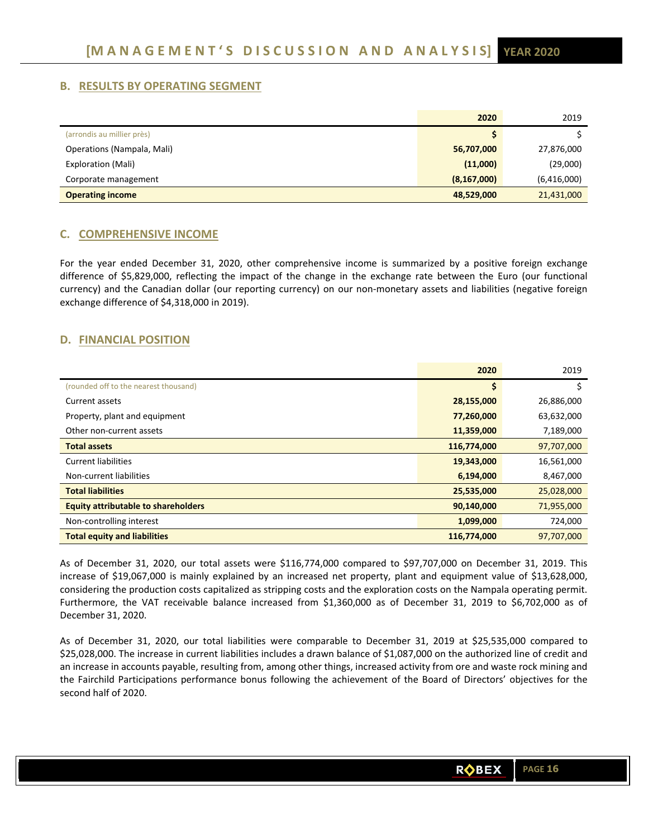# **B. RESULTS BY OPERATING SEGMENT**

|                            | 2020          | 2019        |
|----------------------------|---------------|-------------|
| (arrondis au millier près) |               |             |
| Operations (Nampala, Mali) | 56,707,000    | 27,876,000  |
| <b>Exploration (Mali)</b>  | (11,000)      | (29,000)    |
| Corporate management       | (8, 167, 000) | (6,416,000) |
| <b>Operating income</b>    | 48,529,000    | 21,431,000  |

# **C. COMPREHENSIVE INCOME**

For the year ended December 31, 2020, other comprehensive income is summarized by a positive foreign exchange difference of \$5,829,000, reflecting the impact of the change in the exchange rate between the Euro (our functional currency) and the Canadian dollar (our reporting currency) on our non-monetary assets and liabilities (negative foreign exchange difference of \$4,318,000 in 2019).

# **D. FINANCIAL POSITION**

|                                            | 2020        | 2019       |
|--------------------------------------------|-------------|------------|
| (rounded off to the nearest thousand)      |             |            |
| Current assets                             | 28,155,000  | 26,886,000 |
| Property, plant and equipment              | 77,260,000  | 63,632,000 |
| Other non-current assets                   | 11,359,000  | 7,189,000  |
| <b>Total assets</b>                        | 116,774,000 | 97,707,000 |
| <b>Current liabilities</b>                 | 19,343,000  | 16,561,000 |
| Non-current liabilities                    | 6,194,000   | 8,467,000  |
| <b>Total liabilities</b>                   | 25,535,000  | 25,028,000 |
| <b>Equity attributable to shareholders</b> | 90,140,000  | 71,955,000 |
| Non-controlling interest                   | 1,099,000   | 724,000    |
| <b>Total equity and liabilities</b>        | 116,774,000 | 97,707,000 |

As of December 31, 2020, our total assets were \$116,774,000 compared to \$97,707,000 on December 31, 2019. This increase of \$19,067,000 is mainly explained by an increased net property, plant and equipment value of \$13,628,000, considering the production costs capitalized as stripping costs and the exploration costs on the Nampala operating permit. Furthermore, the VAT receivable balance increased from \$1,360,000 as of December 31, 2019 to \$6,702,000 as of December 31, 2020.

As of December 31, 2020, our total liabilities were comparable to December 31, 2019 at \$25,535,000 compared to \$25,028,000. The increase in current liabilities includes a drawn balance of \$1,087,000 on the authorized line of credit and an increase in accounts payable, resulting from, among other things, increased activity from ore and waste rock mining and the Fairchild Participations performance bonus following the achievement of the Board of Directors' objectives for the second half of 2020.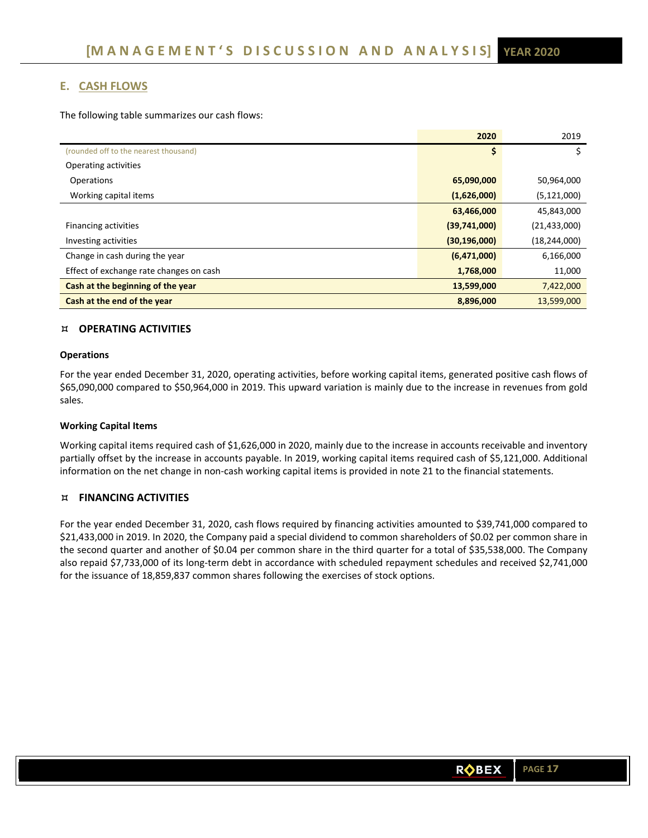# **E. CASH FLOWS**

The following table summarizes our cash flows:

|                                         | 2020           | 2019           |
|-----------------------------------------|----------------|----------------|
| (rounded off to the nearest thousand)   | \$             | \$             |
| Operating activities                    |                |                |
| Operations                              | 65,090,000     | 50,964,000     |
| Working capital items                   | (1,626,000)    | (5, 121, 000)  |
|                                         | 63,466,000     | 45,843,000     |
| Financing activities                    | (39,741,000)   | (21, 433, 000) |
| Investing activities                    | (30, 196, 000) | (18, 244, 000) |
| Change in cash during the year          | (6,471,000)    | 6,166,000      |
| Effect of exchange rate changes on cash | 1,768,000      | 11,000         |
| Cash at the beginning of the year       | 13,599,000     | 7,422,000      |
| Cash at the end of the year             | 8,896,000      | 13,599,000     |

# **OPERATING ACTIVITIES**

### **Operations**

For the year ended December 31, 2020, operating activities, before working capital items, generated positive cash flows of \$65,090,000 compared to \$50,964,000 in 2019. This upward variation is mainly due to the increase in revenues from gold sales.

### **Working Capital Items**

Working capital items required cash of \$1,626,000 in 2020, mainly due to the increase in accounts receivable and inventory partially offset by the increase in accounts payable. In 2019, working capital items required cash of \$5,121,000. Additional information on the net change in non‐cash working capital items is provided in note 21 to the financial statements.

# **FINANCING ACTIVITIES**

For the year ended December 31, 2020, cash flows required by financing activities amounted to \$39,741,000 compared to \$21,433,000 in 2019. In 2020, the Company paid a special dividend to common shareholders of \$0.02 per common share in the second quarter and another of \$0.04 per common share in the third quarter for a total of \$35,538,000. The Company also repaid \$7,733,000 of its long‐term debt in accordance with scheduled repayment schedules and received \$2,741,000 for the issuance of 18,859,837 common shares following the exercises of stock options.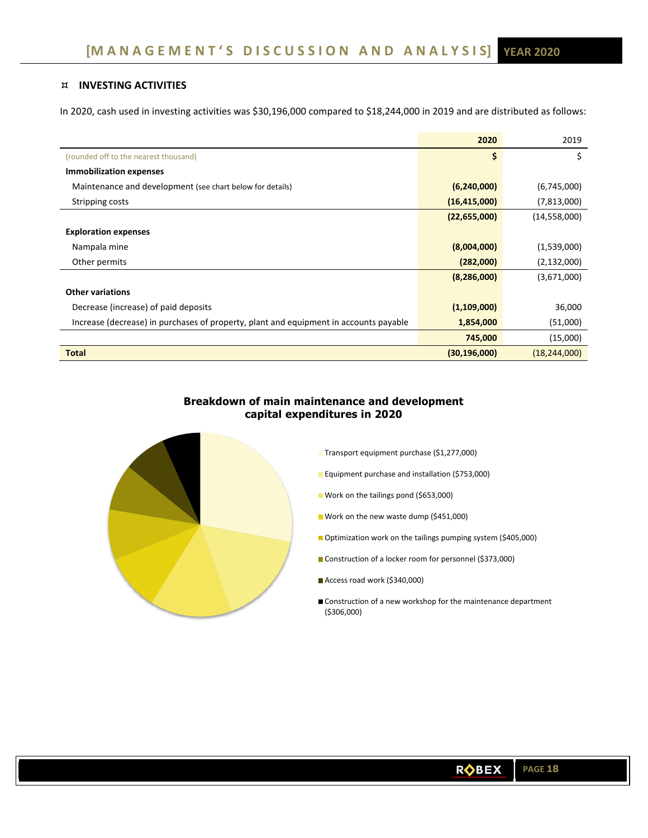# **INVESTING ACTIVITIES**

In 2020, cash used in investing activities was \$30,196,000 compared to \$18,244,000 in 2019 and are distributed as follows:

|                                                                                       | 2020           | 2019           |
|---------------------------------------------------------------------------------------|----------------|----------------|
| (rounded off to the nearest thousand)                                                 | \$             | \$             |
| <b>Immobilization expenses</b>                                                        |                |                |
| Maintenance and development (see chart below for details)                             | (6,240,000)    | (6,745,000)    |
| Stripping costs                                                                       | (16, 415, 000) | (7,813,000)    |
|                                                                                       | (22, 655, 000) | (14,558,000)   |
| <b>Exploration expenses</b>                                                           |                |                |
| Nampala mine                                                                          | (8,004,000)    | (1,539,000)    |
| Other permits                                                                         | (282,000)      | (2, 132, 000)  |
|                                                                                       | (8, 286, 000)  | (3,671,000)    |
| <b>Other variations</b>                                                               |                |                |
| Decrease (increase) of paid deposits                                                  | (1,109,000)    | 36,000         |
| Increase (decrease) in purchases of property, plant and equipment in accounts payable | 1,854,000      | (51,000)       |
|                                                                                       | 745,000        | (15,000)       |
| <b>Total</b>                                                                          | (30, 196, 000) | (18, 244, 000) |

# **Breakdown of main maintenance and development capital expenditures in 2020**



- Transport equipment purchase (\$1,277,000)
- **Equipment purchase and installation (\$753,000)**
- Work on the tailings pond (\$653,000)
- **Work on the new waste dump (\$451,000)**
- Optimization work on the tailings pumping system (\$405,000)
- Construction of a locker room for personnel (\$373,000)
- Access road work (\$340,000)
- Construction of a new workshop for the maintenance department (\$306,000)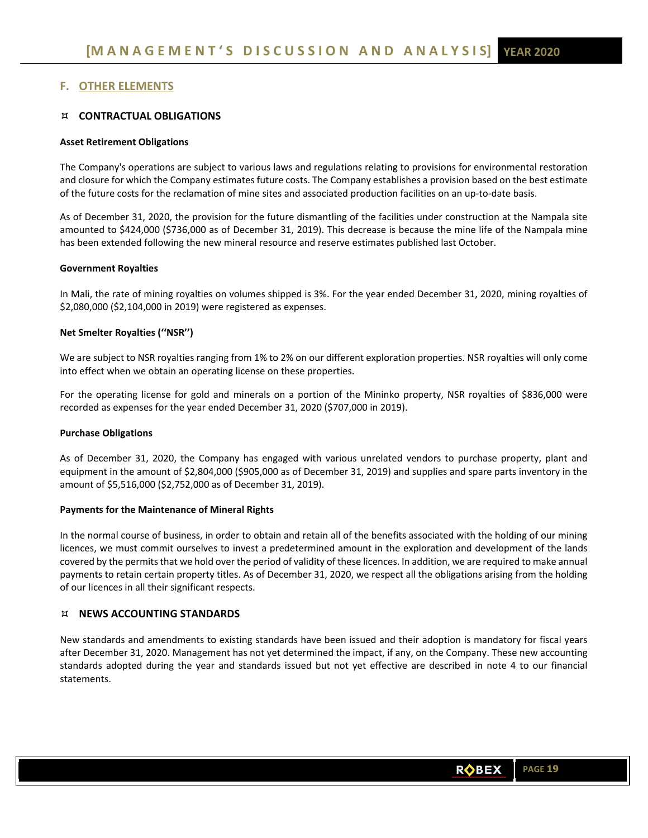# **F. OTHER ELEMENTS**

# **CONTRACTUAL OBLIGATIONS**

## **Asset Retirement Obligations**

The Company's operations are subject to various laws and regulations relating to provisions for environmental restoration and closure for which the Company estimates future costs. The Company establishes a provision based on the best estimate of the future costs for the reclamation of mine sites and associated production facilities on an up-to-date basis.

As of December 31, 2020, the provision for the future dismantling of the facilities under construction at the Nampala site amounted to \$424,000 (\$736,000 as of December 31, 2019). This decrease is because the mine life of the Nampala mine has been extended following the new mineral resource and reserve estimates published last October.

### **Government Royalties**

In Mali, the rate of mining royalties on volumes shipped is 3%. For the year ended December 31, 2020, mining royalties of \$2,080,000 (\$2,104,000 in 2019) were registered as expenses.

# **Net Smelter Royalties (''NSR'')**

We are subject to NSR royalties ranging from 1% to 2% on our different exploration properties. NSR royalties will only come into effect when we obtain an operating license on these properties.

For the operating license for gold and minerals on a portion of the Mininko property, NSR royalties of \$836,000 were recorded as expenses for the year ended December 31, 2020 (\$707,000 in 2019).

### **Purchase Obligations**

As of December 31, 2020, the Company has engaged with various unrelated vendors to purchase property, plant and equipment in the amount of \$2,804,000 (\$905,000 as of December 31, 2019) and supplies and spare parts inventory in the amount of \$5,516,000 (\$2,752,000 as of December 31, 2019).

### **Payments for the Maintenance of Mineral Rights**

In the normal course of business, in order to obtain and retain all of the benefits associated with the holding of our mining licences, we must commit ourselves to invest a predetermined amount in the exploration and development of the lands covered by the permits that we hold over the period of validity of these licences. In addition, we are required to make annual payments to retain certain property titles. As of December 31, 2020, we respect all the obligations arising from the holding of our licences in all their significant respects.

# **NEWS ACCOUNTING STANDARDS**

New standards and amendments to existing standards have been issued and their adoption is mandatory for fiscal years after December 31, 2020. Management has not yet determined the impact, if any, on the Company. These new accounting standards adopted during the year and standards issued but not yet effective are described in note 4 to our financial statements.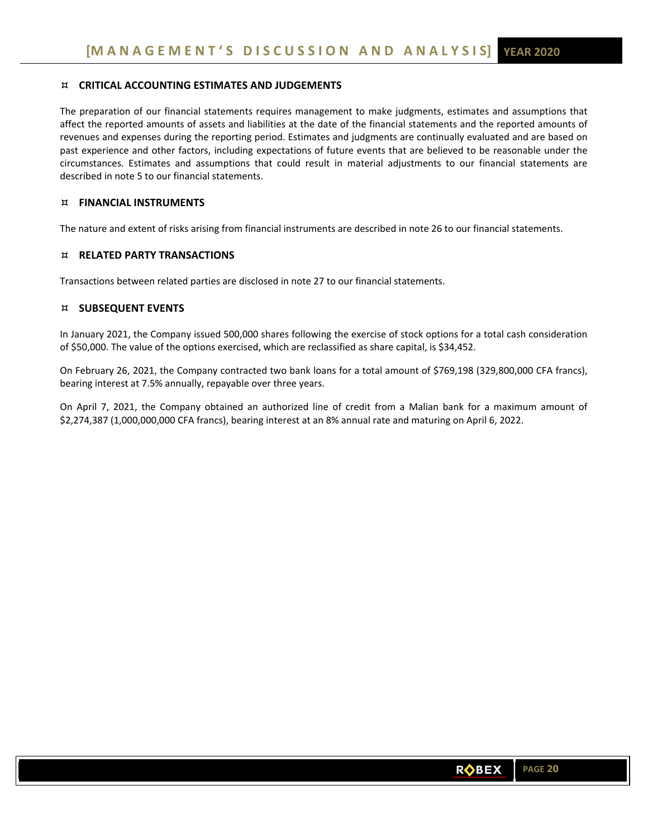# **CRITICAL ACCOUNTING ESTIMATES AND JUDGEMENTS**

The preparation of our financial statements requires management to make judgments, estimates and assumptions that affect the reported amounts of assets and liabilities at the date of the financial statements and the reported amounts of revenues and expenses during the reporting period. Estimates and judgments are continually evaluated and are based on past experience and other factors, including expectations of future events that are believed to be reasonable under the circumstances. Estimates and assumptions that could result in material adjustments to our financial statements are described in note 5 to our financial statements.

# **FINANCIAL INSTRUMENTS**

The nature and extent of risks arising from financial instruments are described in note 26 to our financial statements.

# **RELATED PARTY TRANSACTIONS**

Transactions between related parties are disclosed in note 27 to our financial statements.

# **SUBSEQUENT EVENTS**

In January 2021, the Company issued 500,000 shares following the exercise of stock options for a total cash consideration of \$50,000. The value of the options exercised, which are reclassified as share capital, is \$34,452.

On February 26, 2021, the Company contracted two bank loans for a total amount of \$769,198 (329,800,000 CFA francs), bearing interest at 7.5% annually, repayable over three years.

On April 7, 2021, the Company obtained an authorized line of credit from a Malian bank for a maximum amount of \$2,274,387 (1,000,000,000 CFA francs), bearing interest at an 8% annual rate and maturing on April 6, 2022.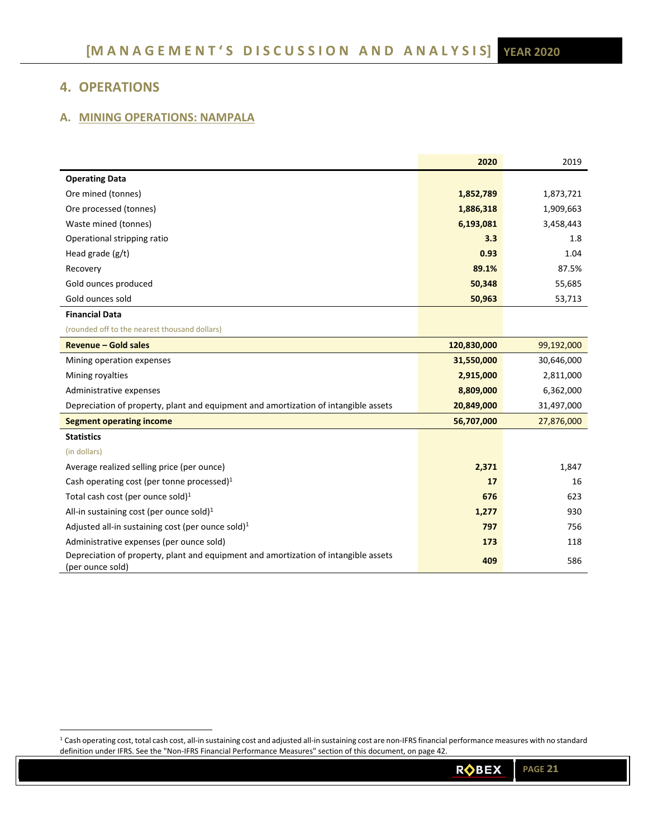# **4. OPERATIONS**

# **A. MINING OPERATIONS: NAMPALA**

|                                                                                                         | 2020        | 2019       |
|---------------------------------------------------------------------------------------------------------|-------------|------------|
| <b>Operating Data</b>                                                                                   |             |            |
| Ore mined (tonnes)                                                                                      | 1,852,789   | 1,873,721  |
| Ore processed (tonnes)                                                                                  | 1,886,318   | 1,909,663  |
| Waste mined (tonnes)                                                                                    | 6,193,081   | 3,458,443  |
| Operational stripping ratio                                                                             | 3.3         | 1.8        |
| Head grade (g/t)                                                                                        | 0.93        | 1.04       |
| Recovery                                                                                                | 89.1%       | 87.5%      |
| Gold ounces produced                                                                                    | 50,348      | 55,685     |
| Gold ounces sold                                                                                        | 50,963      | 53,713     |
| <b>Financial Data</b>                                                                                   |             |            |
| (rounded off to the nearest thousand dollars)                                                           |             |            |
| <b>Revenue - Gold sales</b>                                                                             | 120,830,000 | 99,192,000 |
| Mining operation expenses                                                                               | 31,550,000  | 30,646,000 |
| Mining royalties                                                                                        | 2,915,000   | 2,811,000  |
| Administrative expenses                                                                                 | 8,809,000   | 6,362,000  |
| Depreciation of property, plant and equipment and amortization of intangible assets                     | 20,849,000  | 31,497,000 |
| <b>Segment operating income</b>                                                                         | 56,707,000  | 27,876,000 |
| <b>Statistics</b>                                                                                       |             |            |
| (in dollars)                                                                                            |             |            |
| Average realized selling price (per ounce)                                                              | 2,371       | 1,847      |
| Cash operating cost (per tonne processed) $1$                                                           | 17          | 16         |
| Total cash cost (per ounce sold) $1$                                                                    | 676         | 623        |
| All-in sustaining cost (per ounce sold) <sup>1</sup>                                                    | 1,277       | 930        |
| Adjusted all-in sustaining cost (per ounce sold) $1$                                                    | 797         | 756        |
| Administrative expenses (per ounce sold)                                                                | 173         | 118        |
| Depreciation of property, plant and equipment and amortization of intangible assets<br>(per ounce sold) | 409         | 586        |

 $^1$  Cash operating cost, total cash cost, all-in sustaining cost and adjusted all-in sustaining cost are non-IFRS financial performance measures with no standard definition under IFRS. See the "Non‐IFRS Financial Performance Measures" section of this document, on page 42.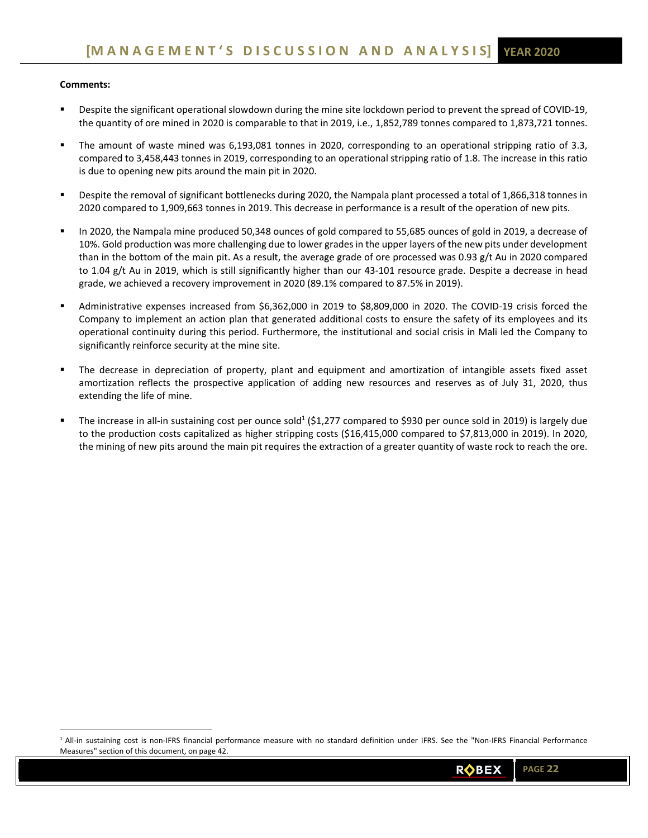## **Comments:**

- Despite the significant operational slowdown during the mine site lockdown period to prevent the spread of COVID‐19, the quantity of ore mined in 2020 is comparable to that in 2019, i.e., 1,852,789 tonnes compared to 1,873,721 tonnes.
- The amount of waste mined was 6,193,081 tonnes in 2020, corresponding to an operational stripping ratio of 3.3, compared to 3,458,443 tonnes in 2019, corresponding to an operational stripping ratio of 1.8. The increase in this ratio is due to opening new pits around the main pit in 2020.
- Despite the removal of significant bottlenecks during 2020, the Nampala plant processed a total of 1,866,318 tonnes in 2020 compared to 1,909,663 tonnes in 2019. This decrease in performance is a result of the operation of new pits.
- In 2020, the Nampala mine produced 50,348 ounces of gold compared to 55,685 ounces of gold in 2019, a decrease of 10%. Gold production was more challenging due to lower grades in the upper layers of the new pits under development than in the bottom of the main pit. As a result, the average grade of ore processed was 0.93 g/t Au in 2020 compared to 1.04 g/t Au in 2019, which is still significantly higher than our 43‐101 resource grade. Despite a decrease in head grade, we achieved a recovery improvement in 2020 (89.1% compared to 87.5% in 2019).
- Administrative expenses increased from \$6,362,000 in 2019 to \$8,809,000 in 2020. The COVID‐19 crisis forced the Company to implement an action plan that generated additional costs to ensure the safety of its employees and its operational continuity during this period. Furthermore, the institutional and social crisis in Mali led the Company to significantly reinforce security at the mine site.
- The decrease in depreciation of property, plant and equipment and amortization of intangible assets fixed asset amortization reflects the prospective application of adding new resources and reserves as of July 31, 2020, thus extending the life of mine.
- The increase in all-in sustaining cost per ounce sold<sup>1</sup> (\$1,277 compared to \$930 per ounce sold in 2019) is largely due to the production costs capitalized as higher stripping costs (\$16,415,000 compared to \$7,813,000 in 2019). In 2020, the mining of new pits around the main pit requires the extraction of a greater quantity of waste rock to reach the ore.

<sup>1</sup> All-in sustaining cost is non-IFRS financial performance measure with no standard definition under IFRS. See the "Non-IFRS Financial Performance Measures" section of this document, on page 42.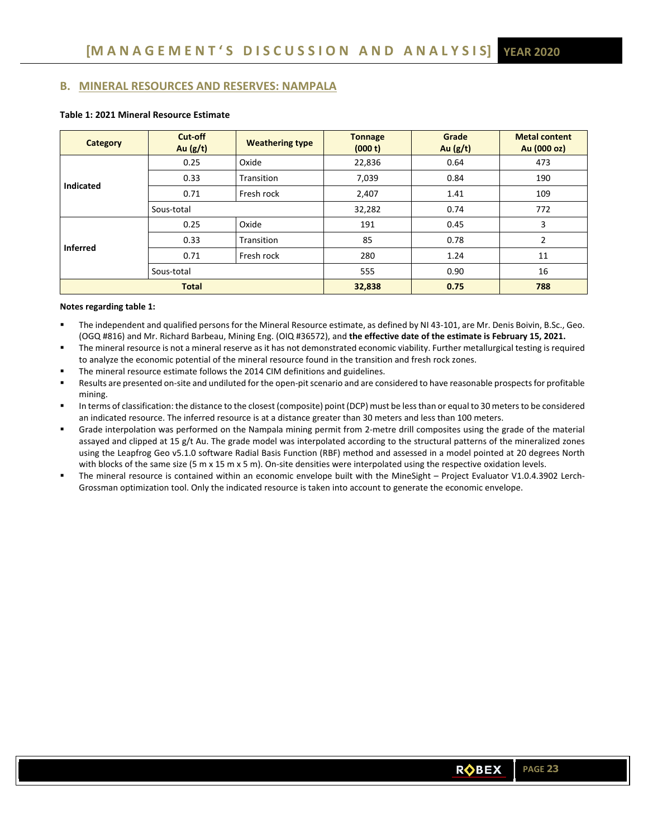# **B. MINERAL RESOURCES AND RESERVES: NAMPALA**

| <b>Category</b> | Cut-off<br>Au $(g/t)$ | <b>Weathering type</b> | <b>Tonnage</b><br>(000 t) | Grade<br>Au $(g/t)$ | <b>Metal content</b><br>Au (000 oz) |  |
|-----------------|-----------------------|------------------------|---------------------------|---------------------|-------------------------------------|--|
|                 | 0.25                  | Oxide                  | 22,836                    | 0.64                | 473                                 |  |
| Indicated       | 0.33                  | Transition             | 7,039                     | 0.84                | 190                                 |  |
| 0.71            |                       | Fresh rock             | 2,407                     | 1.41                | 109                                 |  |
|                 | Sous-total            |                        | 32,282                    | 0.74                | 772                                 |  |
|                 | 0.25                  | Oxide                  | 191                       | 0.45                | 3                                   |  |
| <b>Inferred</b> | 0.33                  | Transition             | 85                        | 0.78                | $\overline{2}$                      |  |
|                 | 0.71                  | Fresh rock             | 280                       | 1.24                |                                     |  |
|                 | Sous-total            |                        | 555                       | 0.90                | 16                                  |  |
| <b>Total</b>    |                       |                        | 32,838                    | 0.75                | 788                                 |  |

# **Table 1: 2021 Mineral Resource Estimate**

### **Notes regarding table 1:**

- The independent and qualified persons for the Mineral Resource estimate, as defined by NI 43-101, are Mr. Denis Boivin, B.Sc., Geo. (OGQ #816) and Mr. Richard Barbeau, Mining Eng. (OIQ #36572), and **the effective date of the estimate is February 15, 2021.**
- The mineral resource is not a mineral reserve as it has not demonstrated economic viability. Further metallurgical testing is required to analyze the economic potential of the mineral resource found in the transition and fresh rock zones.
- The mineral resource estimate follows the 2014 CIM definitions and guidelines.
- Results are presented on‐site and undiluted for the open‐pit scenario and are considered to have reasonable prospects for profitable mining.
- In terms of classification: the distance to the closest (composite) point (DCP) must be less than or equal to 30 meters to be considered an indicated resource. The inferred resource is at a distance greater than 30 meters and less than 100 meters.
- Grade interpolation was performed on the Nampala mining permit from 2‐metre drill composites using the grade of the material assayed and clipped at 15 g/t Au. The grade model was interpolated according to the structural patterns of the mineralized zones using the Leapfrog Geo v5.1.0 software Radial Basis Function (RBF) method and assessed in a model pointed at 20 degrees North with blocks of the same size (5 m x 15 m x 5 m). On-site densities were interpolated using the respective oxidation levels.
- The mineral resource is contained within an economic envelope built with the MineSight Project Evaluator V1.0.4.3902 Lerch-Grossman optimization tool. Only the indicated resource is taken into account to generate the economic envelope.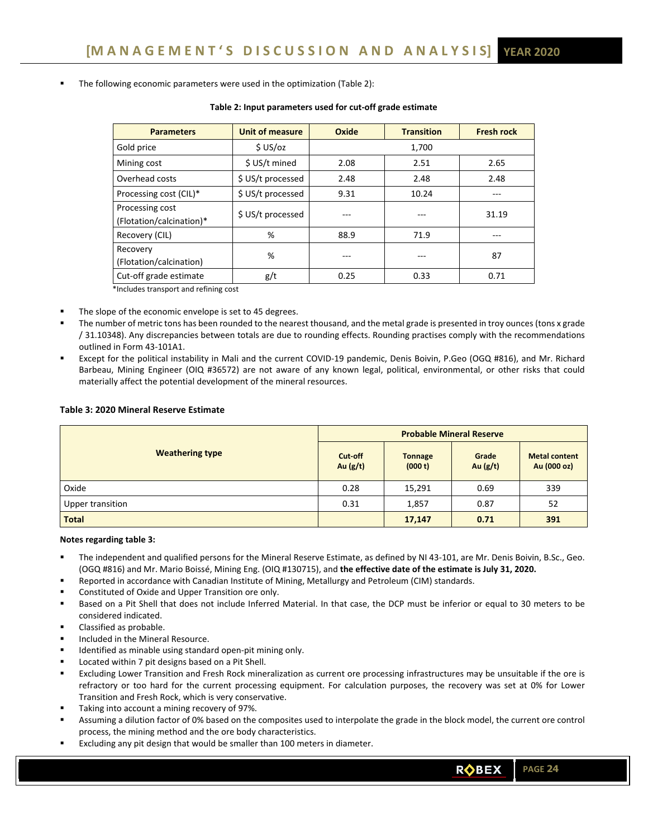The following economic parameters were used in the optimization (Table 2):

| <b>Parameters</b>                           | <b>Unit of measure</b> | Oxide | <b>Transition</b> | <b>Fresh rock</b> |
|---------------------------------------------|------------------------|-------|-------------------|-------------------|
| Gold price                                  | \$US/oz                |       | 1,700             |                   |
| Mining cost                                 | \$ US/t mined          | 2.08  | 2.51              | 2.65              |
| Overhead costs                              | \$ US/t processed      | 2.48  | 2.48              | 2.48              |
| Processing cost (CIL)*                      | \$ US/t processed      | 9.31  | 10.24             |                   |
| Processing cost<br>(Flotation/calcination)* | \$ US/t processed      |       | ---               | 31.19             |
| Recovery (CIL)                              | %                      | 88.9  | 71.9              |                   |
| Recovery<br>(Flotation/calcination)         | %                      |       | ---               | 87                |
| Cut-off grade estimate                      | g/t                    | 0.25  | 0.33              | 0.71              |

#### **Table 2: Input parameters used for cut‐off grade estimate**

\*Includes transport and refining cost

- The slope of the economic envelope is set to 45 degrees.
- The number of metric tons has been rounded to the nearest thousand, and the metal grade is presented in troy ounces (tons x grade / 31.10348). Any discrepancies between totals are due to rounding effects. Rounding practises comply with the recommendations outlined in Form 43‐101A1.
- Except for the political instability in Mali and the current COVID‐19 pandemic, Denis Boivin, P.Geo (OGQ #816), and Mr. Richard Barbeau, Mining Engineer (OIQ #36572) are not aware of any known legal, political, environmental, or other risks that could materially affect the potential development of the mineral resources.

### **Table 3: 2020 Mineral Reserve Estimate**

|                        | <b>Probable Mineral Reserve</b> |                           |                     |                                     |  |  |  |
|------------------------|---------------------------------|---------------------------|---------------------|-------------------------------------|--|--|--|
| <b>Weathering type</b> | Cut-off<br>Au $(g/t)$           | <b>Tonnage</b><br>(000 t) | Grade<br>Au $(g/t)$ | <b>Metal content</b><br>Au (000 oz) |  |  |  |
| Oxide                  | 0.28                            | 15,291                    | 0.69                | 339                                 |  |  |  |
| Upper transition       | 0.31                            | 1,857                     | 0.87                | 52                                  |  |  |  |
| <b>Total</b>           |                                 | 17,147                    | 0.71                | 391                                 |  |  |  |

**Notes regarding table 3:** 

- The independent and qualified persons for the Mineral Reserve Estimate, as defined by NI 43-101, are Mr. Denis Boivin, B.Sc., Geo. (OGQ #816) and Mr. Mario Boissé, Mining Eng. (OIQ #130715), and **the effective date of the estimate is July 31, 2020.**
- Reported in accordance with Canadian Institute of Mining, Metallurgy and Petroleum (CIM) standards.
- Constituted of Oxide and Upper Transition ore only.
- Based on a Pit Shell that does not include Inferred Material. In that case, the DCP must be inferior or equal to 30 meters to be considered indicated.
- Classified as probable.
- Included in the Mineral Resource.
- Identified as minable using standard open‐pit mining only.
- Located within 7 pit designs based on a Pit Shell.
- Excluding Lower Transition and Fresh Rock mineralization as current ore processing infrastructures may be unsuitable if the ore is refractory or too hard for the current processing equipment. For calculation purposes, the recovery was set at 0% for Lower Transition and Fresh Rock, which is very conservative.
- Taking into account a mining recovery of 97%.
- Assuming a dilution factor of 0% based on the composites used to interpolate the grade in the block model, the current ore control process, the mining method and the ore body characteristics.
- Excluding any pit design that would be smaller than 100 meters in diameter.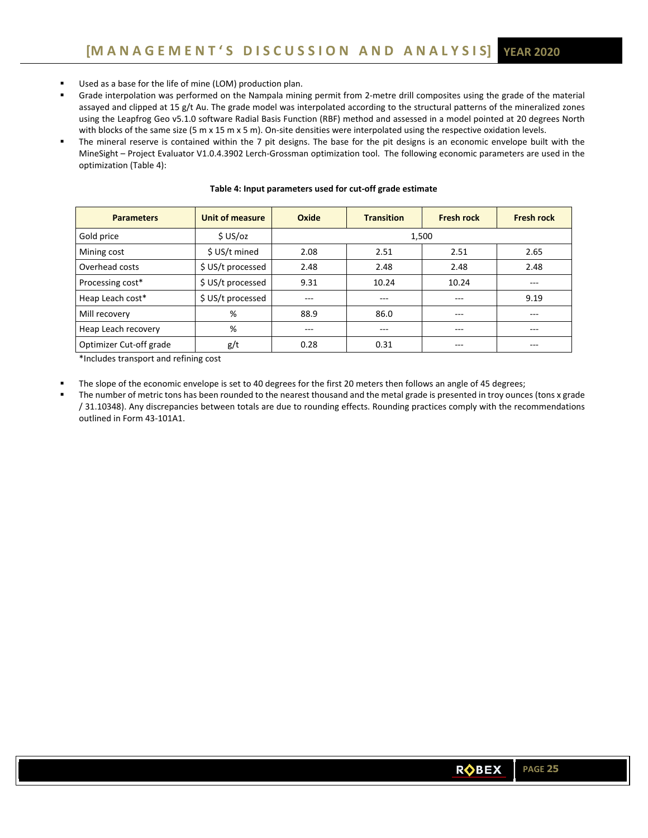- Used as a base for the life of mine (LOM) production plan.
- Grade interpolation was performed on the Nampala mining permit from 2‐metre drill composites using the grade of the material assayed and clipped at 15 g/t Au. The grade model was interpolated according to the structural patterns of the mineralized zones using the Leapfrog Geo v5.1.0 software Radial Basis Function (RBF) method and assessed in a model pointed at 20 degrees North with blocks of the same size (5 m x 15 m x 5 m). On-site densities were interpolated using the respective oxidation levels.
- The mineral reserve is contained within the 7 pit designs. The base for the pit designs is an economic envelope built with the MineSight – Project Evaluator V1.0.4.3902 Lerch‐Grossman optimization tool. The following economic parameters are used in the optimization (Table 4):

| <b>Parameters</b>       | Unit of measure   | Oxide<br><b>Transition</b> |              | <b>Fresh rock</b> | <b>Fresh rock</b> |  |  |
|-------------------------|-------------------|----------------------------|--------------|-------------------|-------------------|--|--|
| Gold price              | \$US/oz           | 1,500                      |              |                   |                   |  |  |
| Mining cost             | \$ US/t mined     | 2.08                       | 2.51<br>2.51 |                   | 2.65              |  |  |
| Overhead costs          | \$ US/t processed | 2.48                       | 2.48         | 2.48              | 2.48              |  |  |
| Processing cost*        | \$ US/t processed | 9.31                       | 10.24        | 10.24             | ---               |  |  |
| Heap Leach cost*        | \$ US/t processed | ---                        | $- - -$      | ---               | 9.19              |  |  |
| Mill recovery           | %                 | 88.9                       | 86.0         | $- - -$           | ---               |  |  |
| Heap Leach recovery     | %                 | $---$                      | ---          | $- - -$           | $---$             |  |  |
| Optimizer Cut-off grade | g/t               | 0.28                       | 0.31         | $---$             | ---               |  |  |

### **Table 4: Input parameters used for cut‐off grade estimate**

\*Includes transport and refining cost

The slope of the economic envelope is set to 40 degrees for the first 20 meters then follows an angle of 45 degrees;

 The number of metric tons has been rounded to the nearest thousand and the metal grade is presented in troy ounces (tons x grade / 31.10348). Any discrepancies between totals are due to rounding effects. Rounding practices comply with the recommendations outlined in Form 43‐101A1.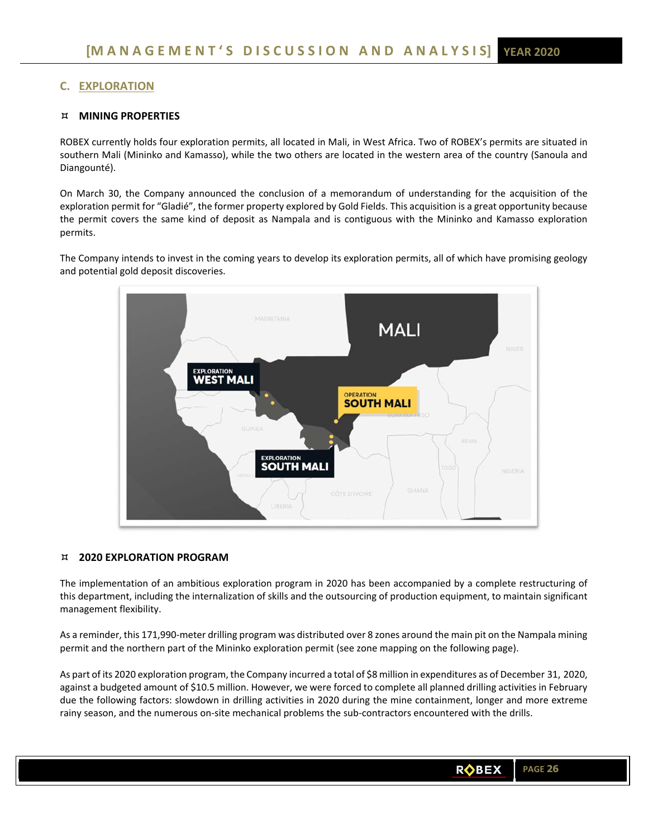# **C. EXPLORATION**

# **MINING PROPERTIES**

ROBEX currently holds four exploration permits, all located in Mali, in West Africa. Two of ROBEX's permits are situated in southern Mali (Mininko and Kamasso), while the two others are located in the western area of the country (Sanoula and Diangounté).

On March 30, the Company announced the conclusion of a memorandum of understanding for the acquisition of the exploration permit for "Gladié", the former property explored by Gold Fields. This acquisition is a great opportunity because the permit covers the same kind of deposit as Nampala and is contiguous with the Mininko and Kamasso exploration permits.

The Company intends to invest in the coming years to develop its exploration permits, all of which have promising geology and potential gold deposit discoveries.



# **2020 EXPLORATION PROGRAM**

The implementation of an ambitious exploration program in 2020 has been accompanied by a complete restructuring of this department, including the internalization of skills and the outsourcing of production equipment, to maintain significant management flexibility.

As a reminder, this 171,990‐meter drilling program was distributed over 8 zones around the main pit on the Nampala mining permit and the northern part of the Mininko exploration permit (see zone mapping on the following page).

As part of its 2020 exploration program, the Company incurred a total of \$8 million in expenditures as of December 31, 2020, against a budgeted amount of \$10.5 million. However, we were forced to complete all planned drilling activities in February due the following factors: slowdown in drilling activities in 2020 during the mine containment, longer and more extreme rainy season, and the numerous on-site mechanical problems the sub-contractors encountered with the drills.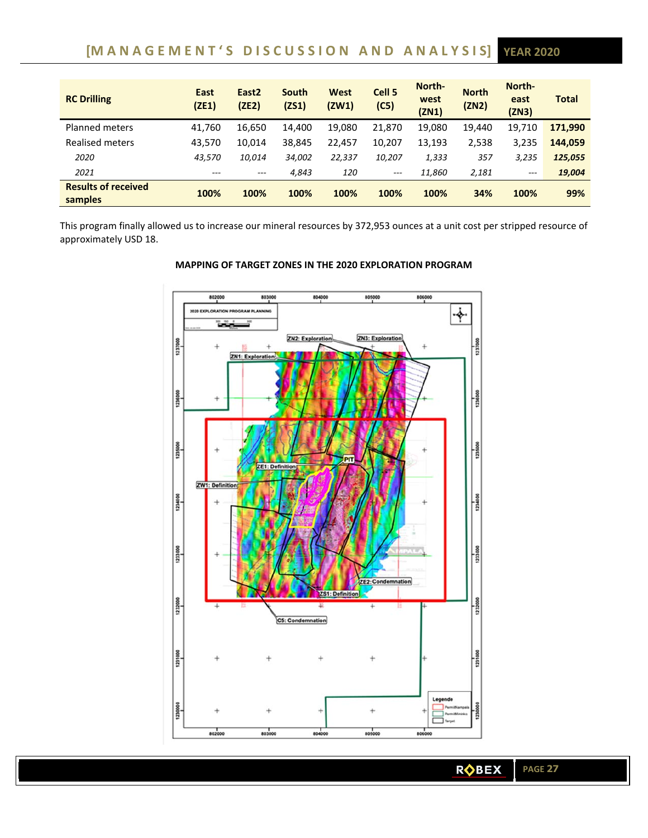# **[M A N A G E M E N T ' S D I S C U S S I O N A N D A N A L Y S I S] YEAR 2020**

| <b>RC Drilling</b>                    | East<br>(ZE1) | East <sub>2</sub><br>(ZE2) | South<br>(2S1) | West<br>(ZW1) | Cell <sub>5</sub><br>(C5) | North-<br>west<br>(ZN1) | <b>North</b><br>(ZN2) | North-<br>east<br>(ZN3) | <b>Total</b> |
|---------------------------------------|---------------|----------------------------|----------------|---------------|---------------------------|-------------------------|-----------------------|-------------------------|--------------|
| <b>Planned meters</b>                 | 41,760        | 16,650                     | 14,400         | 19,080        | 21,870                    | 19,080                  | 19.440                | 19.710                  | 171,990      |
| Realised meters                       | 43,570        | 10,014                     | 38,845         | 22,457        | 10,207                    | 13,193                  | 2,538                 | 3,235                   | 144.059      |
| 2020                                  | 43,570        | 10,014                     | 34,002         | 22,337        | 10,207                    | 1,333                   | 357                   | 3,235                   | 125,055      |
| 2021                                  | $---$         | $---$                      | 4.843          | 120           | $---$                     | 11,860                  | 2,181                 | $---$                   | 19,004       |
| <b>Results of received</b><br>samples | 100%          | 100%                       | 100%           | 100%          | 100%                      | 100%                    | 34%                   | 100%                    | 99%          |

This program finally allowed us to increase our mineral resources by 372,953 ounces at a unit cost per stripped resource of approximately USD 18.



# **MAPPING OF TARGET ZONES IN THE 2020 EXPLORATION PROGRAM**

**ROBEX**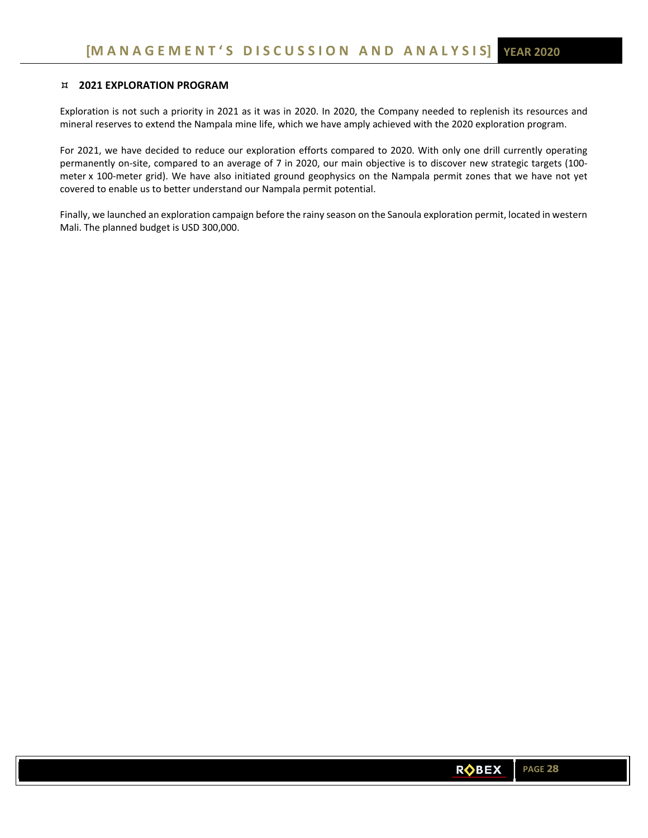# **2021 EXPLORATION PROGRAM**

Exploration is not such a priority in 2021 as it was in 2020. In 2020, the Company needed to replenish its resources and mineral reserves to extend the Nampala mine life, which we have amply achieved with the 2020 exploration program.

For 2021, we have decided to reduce our exploration efforts compared to 2020. With only one drill currently operating permanently on-site, compared to an average of 7 in 2020, our main objective is to discover new strategic targets (100meter x 100-meter grid). We have also initiated ground geophysics on the Nampala permit zones that we have not yet covered to enable us to better understand our Nampala permit potential.

Finally, we launched an exploration campaign before the rainy season on the Sanoula exploration permit, located in western Mali. The planned budget is USD 300,000.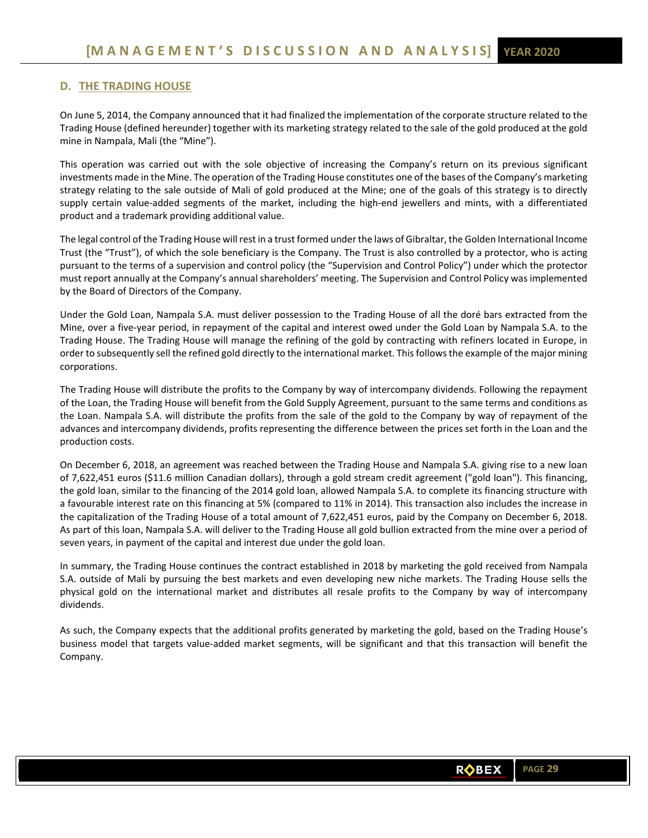# **D. THE TRADING HOUSE**

On June 5, 2014, the Company announced that it had finalized the implementation of the corporate structure related to the Trading House (defined hereunder) together with its marketing strategy related to the sale of the gold produced at the gold mine in Nampala, Mali (the "Mine").

This operation was carried out with the sole objective of increasing the Company's return on its previous significant investments made in the Mine. The operation of the Trading House constitutes one of the bases of the Company's marketing strategy relating to the sale outside of Mali of gold produced at the Mine; one of the goals of this strategy is to directly supply certain value-added segments of the market, including the high-end jewellers and mints, with a differentiated product and a trademark providing additional value.

The legal control of the Trading House will rest in a trust formed under the laws of Gibraltar, the Golden International Income Trust (the "Trust"), of which the sole beneficiary is the Company. The Trust is also controlled by a protector, who is acting pursuant to the terms of a supervision and control policy (the "Supervision and Control Policy") under which the protector must report annually at the Company's annual shareholders' meeting. The Supervision and Control Policy was implemented by the Board of Directors of the Company.

Under the Gold Loan, Nampala S.A. must deliver possession to the Trading House of all the doré bars extracted from the Mine, over a five‐year period, in repayment of the capital and interest owed under the Gold Loan by Nampala S.A. to the Trading House. The Trading House will manage the refining of the gold by contracting with refiners located in Europe, in order to subsequently sell the refined gold directly to the international market. This follows the example of the major mining corporations.

The Trading House will distribute the profits to the Company by way of intercompany dividends. Following the repayment of the Loan, the Trading House will benefit from the Gold Supply Agreement, pursuant to the same terms and conditions as the Loan. Nampala S.A. will distribute the profits from the sale of the gold to the Company by way of repayment of the advances and intercompany dividends, profits representing the difference between the prices set forth in the Loan and the production costs.

On December 6, 2018, an agreement was reached between the Trading House and Nampala S.A. giving rise to a new loan of 7,622,451 euros (\$11.6 million Canadian dollars), through a gold stream credit agreement ("gold loan"). This financing, the gold loan, similar to the financing of the 2014 gold loan, allowed Nampala S.A. to complete its financing structure with a favourable interest rate on this financing at 5% (compared to 11% in 2014). This transaction also includes the increase in the capitalization of the Trading House of a total amount of 7,622,451 euros, paid by the Company on December 6, 2018. As part of this loan, Nampala S.A. will deliver to the Trading House all gold bullion extracted from the mine over a period of seven years, in payment of the capital and interest due under the gold loan.

In summary, the Trading House continues the contract established in 2018 by marketing the gold received from Nampala S.A. outside of Mali by pursuing the best markets and even developing new niche markets. The Trading House sells the physical gold on the international market and distributes all resale profits to the Company by way of intercompany dividends.

As such, the Company expects that the additional profits generated by marketing the gold, based on the Trading House's business model that targets value‐added market segments, will be significant and that this transaction will benefit the Company.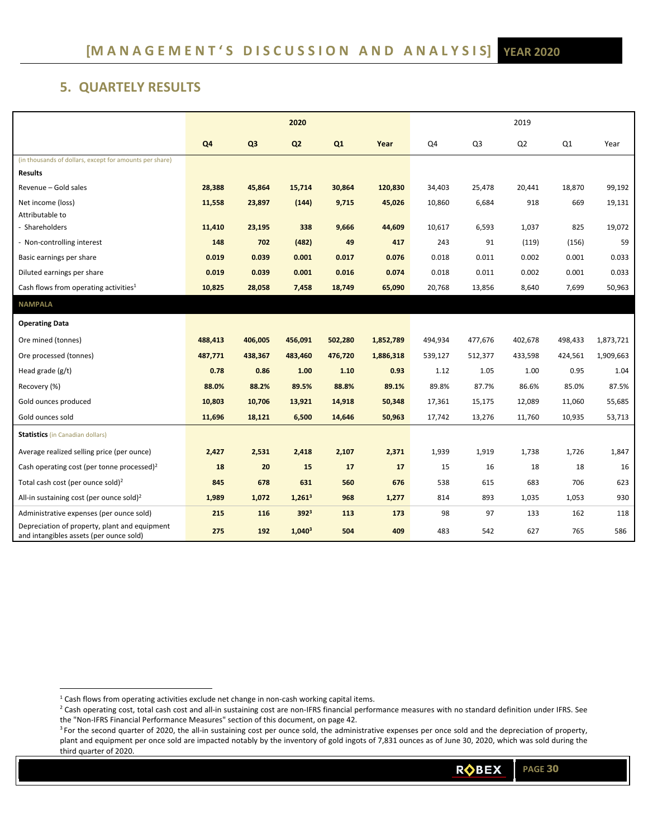# **5. QUARTELY RESULTS**

|                                                                                          | 2020           |                |                    | 2019    |           |         |         |                |         |           |
|------------------------------------------------------------------------------------------|----------------|----------------|--------------------|---------|-----------|---------|---------|----------------|---------|-----------|
|                                                                                          | Q <sub>4</sub> | Q <sub>3</sub> | Q <sub>2</sub>     | Q1      | Year      | Q4      | Q3      | Q <sub>2</sub> | Q1      | Year      |
| (in thousands of dollars, except for amounts per share)                                  |                |                |                    |         |           |         |         |                |         |           |
| <b>Results</b>                                                                           |                |                |                    |         |           |         |         |                |         |           |
| Revenue - Gold sales                                                                     | 28,388         | 45,864         | 15,714             | 30,864  | 120,830   | 34,403  | 25,478  | 20,441         | 18,870  | 99,192    |
| Net income (loss)                                                                        | 11,558         | 23,897         | (144)              | 9,715   | 45,026    | 10,860  | 6,684   | 918            | 669     | 19,131    |
| Attributable to                                                                          |                |                |                    |         |           |         |         |                |         |           |
| - Shareholders                                                                           | 11,410         | 23,195         | 338                | 9,666   | 44,609    | 10,617  | 6,593   | 1,037          | 825     | 19,072    |
| - Non-controlling interest                                                               | 148            | 702            | (482)              | 49      | 417       | 243     | 91      | (119)          | (156)   | 59        |
| Basic earnings per share                                                                 | 0.019          | 0.039          | 0.001              | 0.017   | 0.076     | 0.018   | 0.011   | 0.002          | 0.001   | 0.033     |
| Diluted earnings per share                                                               | 0.019          | 0.039          | 0.001              | 0.016   | 0.074     | 0.018   | 0.011   | 0.002          | 0.001   | 0.033     |
| Cash flows from operating activities <sup>1</sup>                                        | 10,825         | 28,058         | 7,458              | 18,749  | 65,090    | 20,768  | 13,856  | 8,640          | 7,699   | 50,963    |
| <b>NAMPALA</b>                                                                           |                |                |                    |         |           |         |         |                |         |           |
| <b>Operating Data</b>                                                                    |                |                |                    |         |           |         |         |                |         |           |
| Ore mined (tonnes)                                                                       | 488,413        | 406,005        | 456,091            | 502,280 | 1,852,789 | 494,934 | 477,676 | 402,678        | 498,433 | 1,873,721 |
| Ore processed (tonnes)                                                                   | 487,771        | 438,367        | 483,460            | 476,720 | 1,886,318 | 539,127 | 512,377 | 433,598        | 424,561 | 1,909,663 |
| Head grade (g/t)                                                                         | 0.78           | 0.86           | 1.00               | 1.10    | 0.93      | 1.12    | 1.05    | 1.00           | 0.95    | 1.04      |
| Recovery (%)                                                                             | 88.0%          | 88.2%          | 89.5%              | 88.8%   | 89.1%     | 89.8%   | 87.7%   | 86.6%          | 85.0%   | 87.5%     |
| Gold ounces produced                                                                     | 10,803         | 10,706         | 13,921             | 14,918  | 50,348    | 17,361  | 15,175  | 12,089         | 11,060  | 55,685    |
| Gold ounces sold                                                                         | 11,696         | 18,121         | 6,500              | 14,646  | 50,963    | 17,742  | 13,276  | 11,760         | 10,935  | 53,713    |
| <b>Statistics</b> (in Canadian dollars)                                                  |                |                |                    |         |           |         |         |                |         |           |
| Average realized selling price (per ounce)                                               | 2,427          | 2,531          | 2,418              | 2,107   | 2,371     | 1,939   | 1,919   | 1,738          | 1,726   | 1,847     |
| Cash operating cost (per tonne processed) <sup>2</sup>                                   | 18             | 20             | 15                 | 17      | 17        | 15      | 16      | 18             | 18      | 16        |
| Total cash cost (per ounce sold) <sup>2</sup>                                            | 845            | 678            | 631                | 560     | 676       | 538     | 615     | 683            | 706     | 623       |
| All-in sustaining cost (per ounce sold) <sup>2</sup>                                     | 1,989          | 1,072          | 1,261 <sup>3</sup> | 968     | 1,277     | 814     | 893     | 1,035          | 1,053   | 930       |
| Administrative expenses (per ounce sold)                                                 | 215            | 116            | 392 <sup>3</sup>   | 113     | 173       | 98      | 97      | 133            | 162     | 118       |
| Depreciation of property, plant and equipment<br>and intangibles assets (per ounce sold) | 275            | 192            | $1,040^3$          | 504     | 409       | 483     | 542     | 627            | 765     | 586       |

 $<sup>1</sup>$  Cash flows from operating activities exclude net change in non-cash working capital items.</sup>

<sup>&</sup>lt;sup>2</sup> Cash operating cost, total cash cost and all-in sustaining cost are non-IFRS financial performance measures with no standard definition under IFRS. See the "Non‐IFRS Financial Performance Measures" section of this document, on page 42.

<sup>&</sup>lt;sup>3</sup> For the second quarter of 2020, the all-in sustaining cost per ounce sold, the administrative expenses per once sold and the depreciation of property, plant and equipment per once sold are impacted notably by the inventory of gold ingots of 7,831 ounces as of June 30, 2020, which was sold during the third quarter of 2020.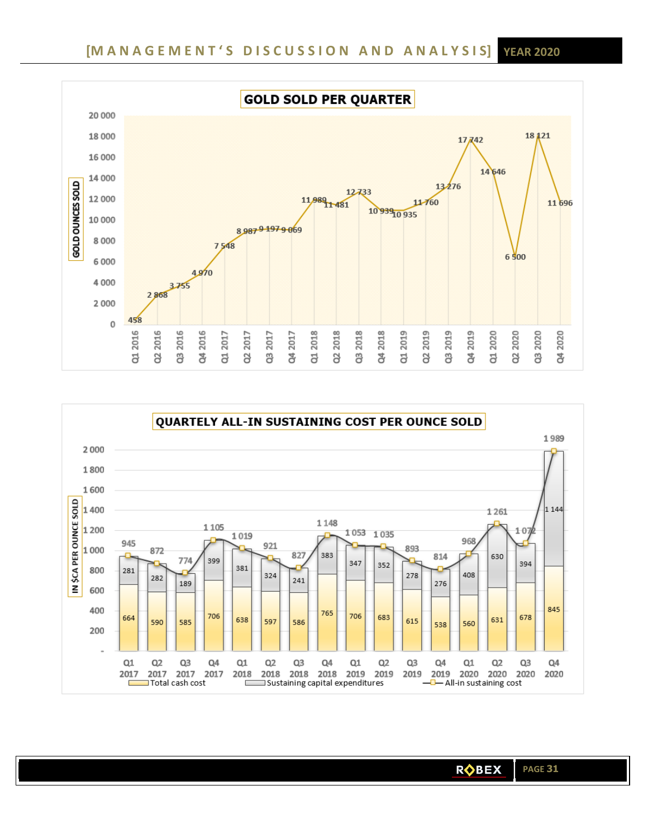

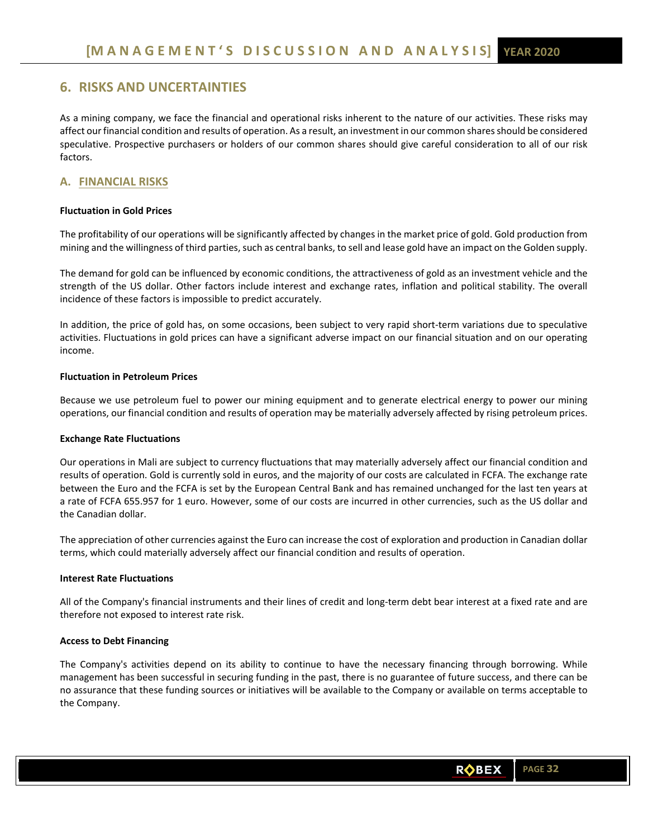# **6. RISKS AND UNCERTAINTIES**

As a mining company, we face the financial and operational risks inherent to the nature of our activities. These risks may affect our financial condition and results of operation. As a result, an investment in our common shares should be considered speculative. Prospective purchasers or holders of our common shares should give careful consideration to all of our risk factors.

# **A. FINANCIAL RISKS**

# **Fluctuation in Gold Prices**

The profitability of our operations will be significantly affected by changes in the market price of gold. Gold production from mining and the willingness of third parties, such as central banks, to sell and lease gold have an impact on the Golden supply.

The demand for gold can be influenced by economic conditions, the attractiveness of gold as an investment vehicle and the strength of the US dollar. Other factors include interest and exchange rates, inflation and political stability. The overall incidence of these factors is impossible to predict accurately.

In addition, the price of gold has, on some occasions, been subject to very rapid short-term variations due to speculative activities. Fluctuations in gold prices can have a significant adverse impact on our financial situation and on our operating income.

### **Fluctuation in Petroleum Prices**

Because we use petroleum fuel to power our mining equipment and to generate electrical energy to power our mining operations, our financial condition and results of operation may be materially adversely affected by rising petroleum prices.

### **Exchange Rate Fluctuations**

Our operations in Mali are subject to currency fluctuations that may materially adversely affect our financial condition and results of operation. Gold is currently sold in euros, and the majority of our costs are calculated in FCFA. The exchange rate between the Euro and the FCFA is set by the European Central Bank and has remained unchanged for the last ten years at a rate of FCFA 655.957 for 1 euro. However, some of our costs are incurred in other currencies, such as the US dollar and the Canadian dollar.

The appreciation of other currencies against the Euro can increase the cost of exploration and production in Canadian dollar terms, which could materially adversely affect our financial condition and results of operation.

### **Interest Rate Fluctuations**

All of the Company's financial instruments and their lines of credit and long‐term debt bear interest at a fixed rate and are therefore not exposed to interest rate risk.

### **Access to Debt Financing**

The Company's activities depend on its ability to continue to have the necessary financing through borrowing. While management has been successful in securing funding in the past, there is no guarantee of future success, and there can be no assurance that these funding sources or initiatives will be available to the Company or available on terms acceptable to the Company.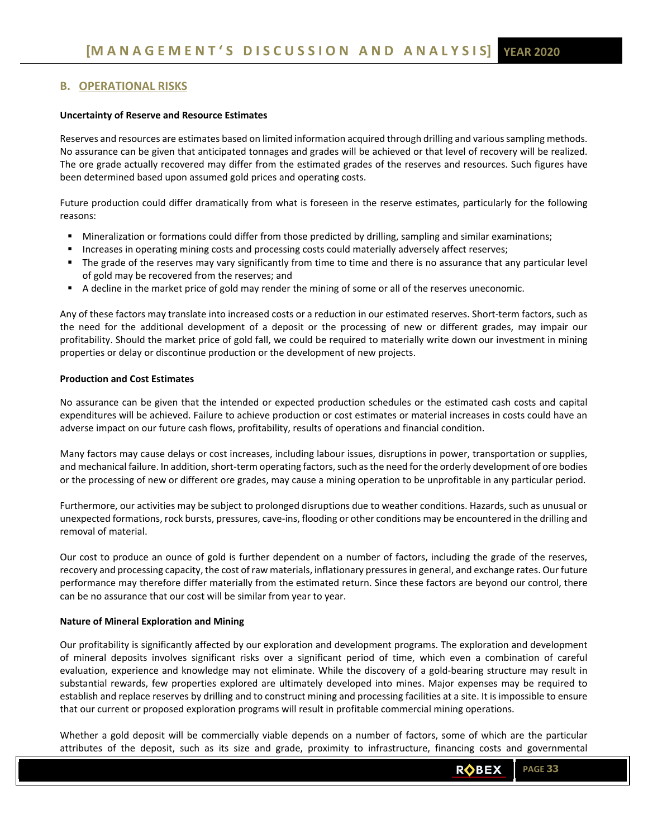# **B. OPERATIONAL RISKS**

### **Uncertainty of Reserve and Resource Estimates**

Reserves and resources are estimates based on limited information acquired through drilling and various sampling methods. No assurance can be given that anticipated tonnages and grades will be achieved or that level of recovery will be realized. The ore grade actually recovered may differ from the estimated grades of the reserves and resources. Such figures have been determined based upon assumed gold prices and operating costs.

Future production could differ dramatically from what is foreseen in the reserve estimates, particularly for the following reasons:

- **Mineralization or formations could differ from those predicted by drilling, sampling and similar examinations;**
- **Increases in operating mining costs and processing costs could materially adversely affect reserves;**
- The grade of the reserves may vary significantly from time to time and there is no assurance that any particular level of gold may be recovered from the reserves; and
- A decline in the market price of gold may render the mining of some or all of the reserves uneconomic.

Any of these factors may translate into increased costs or a reduction in our estimated reserves. Short‐term factors, such as the need for the additional development of a deposit or the processing of new or different grades, may impair our profitability. Should the market price of gold fall, we could be required to materially write down our investment in mining properties or delay or discontinue production or the development of new projects.

### **Production and Cost Estimates**

No assurance can be given that the intended or expected production schedules or the estimated cash costs and capital expenditures will be achieved. Failure to achieve production or cost estimates or material increases in costs could have an adverse impact on our future cash flows, profitability, results of operations and financial condition.

Many factors may cause delays or cost increases, including labour issues, disruptions in power, transportation or supplies, and mechanical failure. In addition, short-term operating factors, such as the need for the orderly development of ore bodies or the processing of new or different ore grades, may cause a mining operation to be unprofitable in any particular period.

Furthermore, our activities may be subject to prolonged disruptions due to weather conditions. Hazards, such as unusual or unexpected formations, rock bursts, pressures, cave‐ins, flooding or other conditions may be encountered in the drilling and removal of material.

Our cost to produce an ounce of gold is further dependent on a number of factors, including the grade of the reserves, recovery and processing capacity, the cost of raw materials, inflationary pressures in general, and exchange rates. Our future performance may therefore differ materially from the estimated return. Since these factors are beyond our control, there can be no assurance that our cost will be similar from year to year.

### **Nature of Mineral Exploration and Mining**

Our profitability is significantly affected by our exploration and development programs. The exploration and development of mineral deposits involves significant risks over a significant period of time, which even a combination of careful evaluation, experience and knowledge may not eliminate. While the discovery of a gold-bearing structure may result in substantial rewards, few properties explored are ultimately developed into mines. Major expenses may be required to establish and replace reserves by drilling and to construct mining and processing facilities at a site. It is impossible to ensure that our current or proposed exploration programs will result in profitable commercial mining operations.

Whether a gold deposit will be commercially viable depends on a number of factors, some of which are the particular attributes of the deposit, such as its size and grade, proximity to infrastructure, financing costs and governmental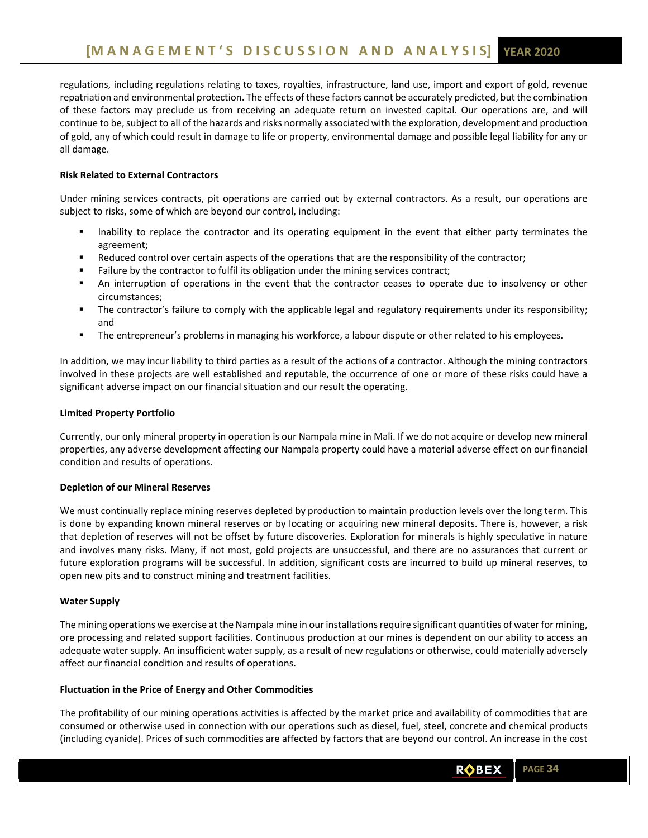regulations, including regulations relating to taxes, royalties, infrastructure, land use, import and export of gold, revenue repatriation and environmental protection. The effects of these factors cannot be accurately predicted, but the combination of these factors may preclude us from receiving an adequate return on invested capital. Our operations are, and will continue to be, subject to all of the hazards and risks normally associated with the exploration, development and production of gold, any of which could result in damage to life or property, environmental damage and possible legal liability for any or all damage.

# **Risk Related to External Contractors**

Under mining services contracts, pit operations are carried out by external contractors. As a result, our operations are subject to risks, some of which are beyond our control, including:

- Inability to replace the contractor and its operating equipment in the event that either party terminates the agreement;
- Reduced control over certain aspects of the operations that are the responsibility of the contractor;
- Failure by the contractor to fulfil its obligation under the mining services contract;
- An interruption of operations in the event that the contractor ceases to operate due to insolvency or other circumstances;
- The contractor's failure to comply with the applicable legal and regulatory requirements under its responsibility; and
- The entrepreneur's problems in managing his workforce, a labour dispute or other related to his employees.

In addition, we may incur liability to third parties as a result of the actions of a contractor. Although the mining contractors involved in these projects are well established and reputable, the occurrence of one or more of these risks could have a significant adverse impact on our financial situation and our result the operating.

# **Limited Property Portfolio**

Currently, our only mineral property in operation is our Nampala mine in Mali. If we do not acquire or develop new mineral properties, any adverse development affecting our Nampala property could have a material adverse effect on our financial condition and results of operations.

# **Depletion of our Mineral Reserves**

We must continually replace mining reserves depleted by production to maintain production levels over the long term. This is done by expanding known mineral reserves or by locating or acquiring new mineral deposits. There is, however, a risk that depletion of reserves will not be offset by future discoveries. Exploration for minerals is highly speculative in nature and involves many risks. Many, if not most, gold projects are unsuccessful, and there are no assurances that current or future exploration programs will be successful. In addition, significant costs are incurred to build up mineral reserves, to open new pits and to construct mining and treatment facilities.

# **Water Supply**

The mining operations we exercise at the Nampala mine in our installations require significant quantities of water for mining, ore processing and related support facilities. Continuous production at our mines is dependent on our ability to access an adequate water supply. An insufficient water supply, as a result of new regulations or otherwise, could materially adversely affect our financial condition and results of operations.

# **Fluctuation in the Price of Energy and Other Commodities**

The profitability of our mining operations activities is affected by the market price and availability of commodities that are consumed or otherwise used in connection with our operations such as diesel, fuel, steel, concrete and chemical products (including cyanide). Prices of such commodities are affected by factors that are beyond our control. An increase in the cost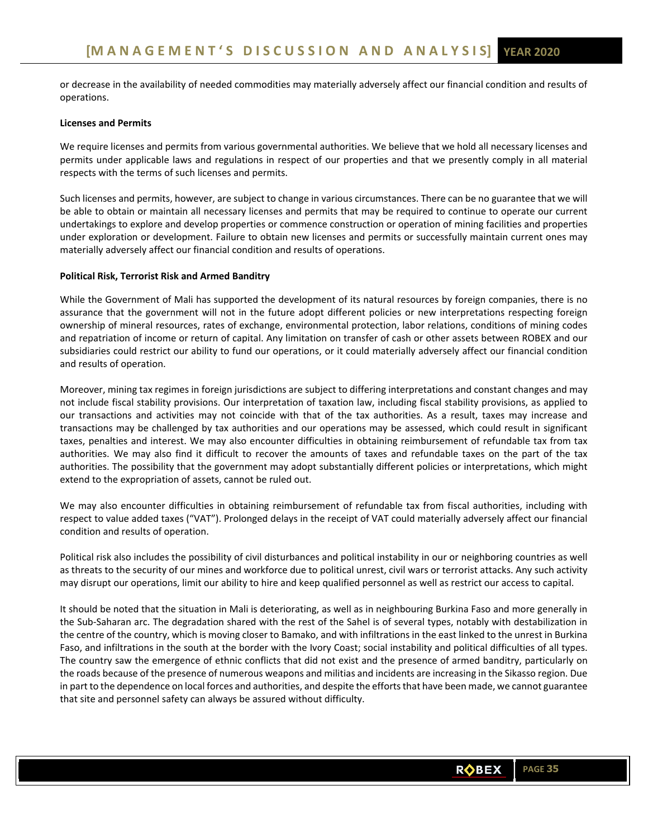or decrease in the availability of needed commodities may materially adversely affect our financial condition and results of operations.

### **Licenses and Permits**

We require licenses and permits from various governmental authorities. We believe that we hold all necessary licenses and permits under applicable laws and regulations in respect of our properties and that we presently comply in all material respects with the terms of such licenses and permits.

Such licenses and permits, however, are subject to change in various circumstances. There can be no guarantee that we will be able to obtain or maintain all necessary licenses and permits that may be required to continue to operate our current undertakings to explore and develop properties or commence construction or operation of mining facilities and properties under exploration or development. Failure to obtain new licenses and permits or successfully maintain current ones may materially adversely affect our financial condition and results of operations.

### **Political Risk, Terrorist Risk and Armed Banditry**

While the Government of Mali has supported the development of its natural resources by foreign companies, there is no assurance that the government will not in the future adopt different policies or new interpretations respecting foreign ownership of mineral resources, rates of exchange, environmental protection, labor relations, conditions of mining codes and repatriation of income or return of capital. Any limitation on transfer of cash or other assets between ROBEX and our subsidiaries could restrict our ability to fund our operations, or it could materially adversely affect our financial condition and results of operation.

Moreover, mining tax regimes in foreign jurisdictions are subject to differing interpretations and constant changes and may not include fiscal stability provisions. Our interpretation of taxation law, including fiscal stability provisions, as applied to our transactions and activities may not coincide with that of the tax authorities. As a result, taxes may increase and transactions may be challenged by tax authorities and our operations may be assessed, which could result in significant taxes, penalties and interest. We may also encounter difficulties in obtaining reimbursement of refundable tax from tax authorities. We may also find it difficult to recover the amounts of taxes and refundable taxes on the part of the tax authorities. The possibility that the government may adopt substantially different policies or interpretations, which might extend to the expropriation of assets, cannot be ruled out.

We may also encounter difficulties in obtaining reimbursement of refundable tax from fiscal authorities, including with respect to value added taxes ("VAT"). Prolonged delays in the receipt of VAT could materially adversely affect our financial condition and results of operation.

Political risk also includes the possibility of civil disturbances and political instability in our or neighboring countries as well as threats to the security of our mines and workforce due to political unrest, civil wars or terrorist attacks. Any such activity may disrupt our operations, limit our ability to hire and keep qualified personnel as well as restrict our access to capital.

It should be noted that the situation in Mali is deteriorating, as well as in neighbouring Burkina Faso and more generally in the Sub‐Saharan arc. The degradation shared with the rest of the Sahel is of several types, notably with destabilization in the centre of the country, which is moving closer to Bamako, and with infiltrations in the east linked to the unrest in Burkina Faso, and infiltrations in the south at the border with the Ivory Coast; social instability and political difficulties of all types. The country saw the emergence of ethnic conflicts that did not exist and the presence of armed banditry, particularly on the roads because of the presence of numerous weapons and militias and incidents are increasing in the Sikasso region. Due in part to the dependence on local forces and authorities, and despite the efforts that have been made, we cannot guarantee that site and personnel safety can always be assured without difficulty.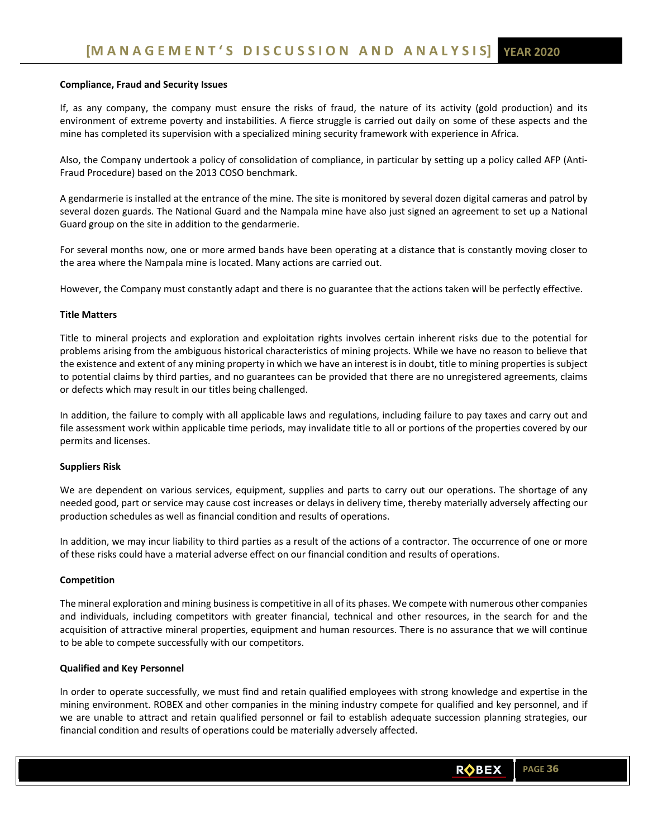### **Compliance, Fraud and Security Issues**

If, as any company, the company must ensure the risks of fraud, the nature of its activity (gold production) and its environment of extreme poverty and instabilities. A fierce struggle is carried out daily on some of these aspects and the mine has completed its supervision with a specialized mining security framework with experience in Africa.

 Also, the Company undertook a policy of consolidation of compliance, in particular by setting up a policy called AFP (Anti‐ Fraud Procedure) based on the 2013 COSO benchmark.

A gendarmerie is installed at the entrance of the mine. The site is monitored by several dozen digital cameras and patrol by several dozen guards. The National Guard and the Nampala mine have also just signed an agreement to set up a National Guard group on the site in addition to the gendarmerie.

For several months now, one or more armed bands have been operating at a distance that is constantly moving closer to the area where the Nampala mine is located. Many actions are carried out.

However, the Company must constantly adapt and there is no guarantee that the actions taken will be perfectly effective.

### **Title Matters**

Title to mineral projects and exploration and exploitation rights involves certain inherent risks due to the potential for problems arising from the ambiguous historical characteristics of mining projects. While we have no reason to believe that the existence and extent of any mining property in which we have an interest is in doubt, title to mining properties is subject to potential claims by third parties, and no guarantees can be provided that there are no unregistered agreements, claims or defects which may result in our titles being challenged.

In addition, the failure to comply with all applicable laws and regulations, including failure to pay taxes and carry out and file assessment work within applicable time periods, may invalidate title to all or portions of the properties covered by our permits and licenses.

### **Suppliers Risk**

We are dependent on various services, equipment, supplies and parts to carry out our operations. The shortage of any needed good, part or service may cause cost increases or delays in delivery time, thereby materially adversely affecting our production schedules as well as financial condition and results of operations.

In addition, we may incur liability to third parties as a result of the actions of a contractor. The occurrence of one or more of these risks could have a material adverse effect on our financial condition and results of operations.

### **Competition**

The mineral exploration and mining business is competitive in all of its phases. We compete with numerous other companies and individuals, including competitors with greater financial, technical and other resources, in the search for and the acquisition of attractive mineral properties, equipment and human resources. There is no assurance that we will continue to be able to compete successfully with our competitors.

### **Qualified and Key Personnel**

In order to operate successfully, we must find and retain qualified employees with strong knowledge and expertise in the mining environment. ROBEX and other companies in the mining industry compete for qualified and key personnel, and if we are unable to attract and retain qualified personnel or fail to establish adequate succession planning strategies, our financial condition and results of operations could be materially adversely affected.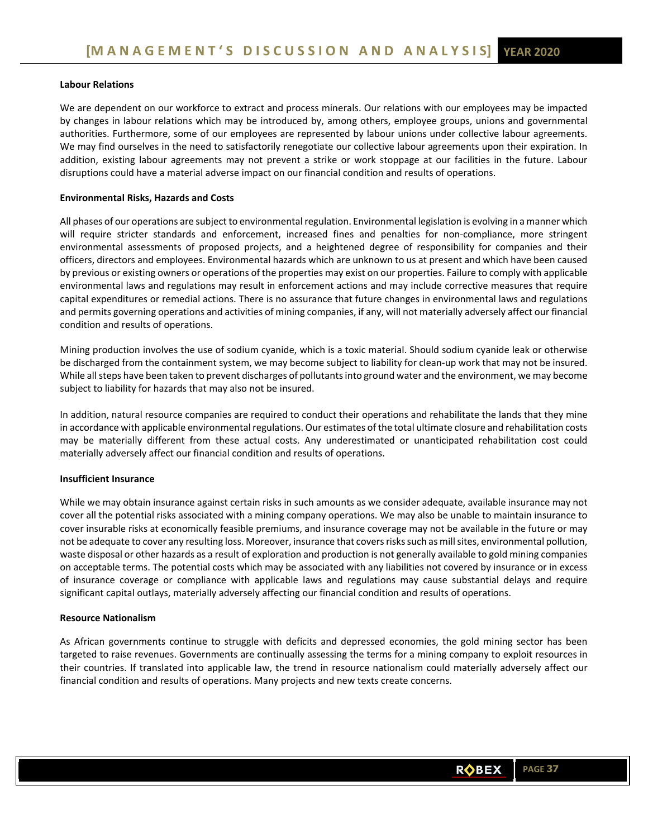# **Labour Relations**

We are dependent on our workforce to extract and process minerals. Our relations with our employees may be impacted by changes in labour relations which may be introduced by, among others, employee groups, unions and governmental authorities. Furthermore, some of our employees are represented by labour unions under collective labour agreements. We may find ourselves in the need to satisfactorily renegotiate our collective labour agreements upon their expiration. In addition, existing labour agreements may not prevent a strike or work stoppage at our facilities in the future. Labour disruptions could have a material adverse impact on our financial condition and results of operations.

# **Environmental Risks, Hazards and Costs**

All phases of our operations are subject to environmental regulation. Environmental legislation is evolving in a manner which will require stricter standards and enforcement, increased fines and penalties for non‐compliance, more stringent environmental assessments of proposed projects, and a heightened degree of responsibility for companies and their officers, directors and employees. Environmental hazards which are unknown to us at present and which have been caused by previous or existing owners or operations of the properties may exist on our properties. Failure to comply with applicable environmental laws and regulations may result in enforcement actions and may include corrective measures that require capital expenditures or remedial actions. There is no assurance that future changes in environmental laws and regulations and permits governing operations and activities of mining companies, if any, will not materially adversely affect our financial condition and results of operations.

Mining production involves the use of sodium cyanide, which is a toxic material. Should sodium cyanide leak or otherwise be discharged from the containment system, we may become subject to liability for clean-up work that may not be insured. While all steps have been taken to prevent discharges of pollutants into ground water and the environment, we may become subject to liability for hazards that may also not be insured.

In addition, natural resource companies are required to conduct their operations and rehabilitate the lands that they mine in accordance with applicable environmental regulations. Our estimates of the total ultimate closure and rehabilitation costs may be materially different from these actual costs. Any underestimated or unanticipated rehabilitation cost could materially adversely affect our financial condition and results of operations.

### **Insufficient Insurance**

While we may obtain insurance against certain risks in such amounts as we consider adequate, available insurance may not cover all the potential risks associated with a mining company operations. We may also be unable to maintain insurance to cover insurable risks at economically feasible premiums, and insurance coverage may not be available in the future or may not be adequate to cover any resulting loss. Moreover, insurance that covers risks such as mill sites, environmental pollution, waste disposal or other hazards as a result of exploration and production is not generally available to gold mining companies on acceptable terms. The potential costs which may be associated with any liabilities not covered by insurance or in excess of insurance coverage or compliance with applicable laws and regulations may cause substantial delays and require significant capital outlays, materially adversely affecting our financial condition and results of operations.

### **Resource Nationalism**

As African governments continue to struggle with deficits and depressed economies, the gold mining sector has been targeted to raise revenues. Governments are continually assessing the terms for a mining company to exploit resources in their countries. If translated into applicable law, the trend in resource nationalism could materially adversely affect our financial condition and results of operations. Many projects and new texts create concerns.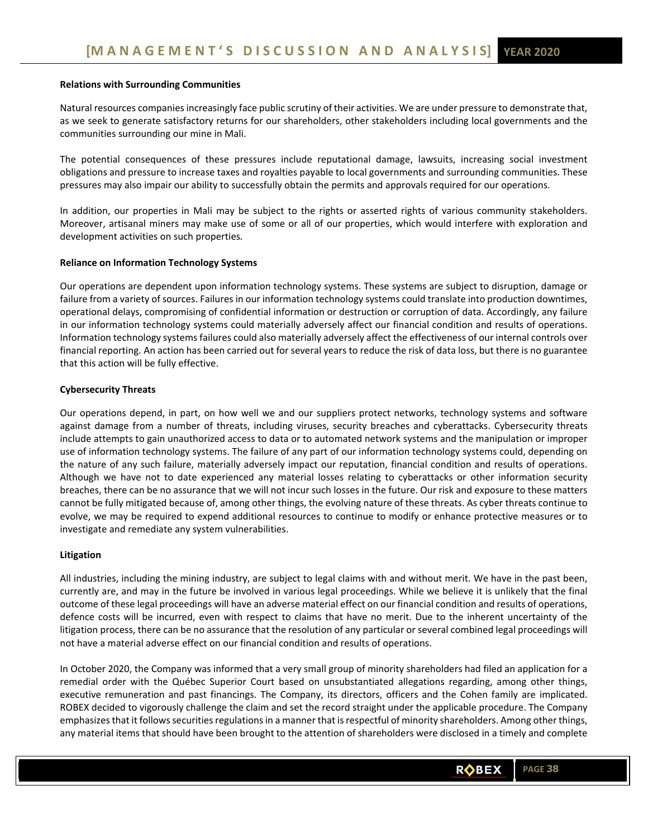### **Relations with Surrounding Communities**

Natural resources companies increasingly face public scrutiny of their activities. We are under pressure to demonstrate that, as we seek to generate satisfactory returns for our shareholders, other stakeholders including local governments and the communities surrounding our mine in Mali.

The potential consequences of these pressures include reputational damage, lawsuits, increasing social investment obligations and pressure to increase taxes and royalties payable to local governments and surrounding communities. These pressures may also impair our ability to successfully obtain the permits and approvals required for our operations.

In addition, our properties in Mali may be subject to the rights or asserted rights of various community stakeholders. Moreover, artisanal miners may make use of some or all of our properties, which would interfere with exploration and development activities on such properties.

### **Reliance on Information Technology Systems**

Our operations are dependent upon information technology systems. These systems are subject to disruption, damage or failure from a variety of sources. Failures in our information technology systems could translate into production downtimes, operational delays, compromising of confidential information or destruction or corruption of data. Accordingly, any failure in our information technology systems could materially adversely affect our financial condition and results of operations. Information technology systems failures could also materially adversely affect the effectiveness of our internal controls over financial reporting. An action has been carried out for several years to reduce the risk of data loss, but there is no guarantee that this action will be fully effective.

### **Cybersecurity Threats**

Our operations depend, in part, on how well we and our suppliers protect networks, technology systems and software against damage from a number of threats, including viruses, security breaches and cyberattacks. Cybersecurity threats include attempts to gain unauthorized access to data or to automated network systems and the manipulation or improper use of information technology systems. The failure of any part of our information technology systems could, depending on the nature of any such failure, materially adversely impact our reputation, financial condition and results of operations. Although we have not to date experienced any material losses relating to cyberattacks or other information security breaches, there can be no assurance that we will not incur such losses in the future. Our risk and exposure to these matters cannot be fully mitigated because of, among other things, the evolving nature of these threats. As cyber threats continue to evolve, we may be required to expend additional resources to continue to modify or enhance protective measures or to investigate and remediate any system vulnerabilities.

### **Litigation**

All industries, including the mining industry, are subject to legal claims with and without merit. We have in the past been, currently are, and may in the future be involved in various legal proceedings. While we believe it is unlikely that the final outcome of these legal proceedings will have an adverse material effect on our financial condition and results of operations, defence costs will be incurred, even with respect to claims that have no merit. Due to the inherent uncertainty of the litigation process, there can be no assurance that the resolution of any particular or several combined legal proceedings will not have a material adverse effect on our financial condition and results of operations.

In October 2020, the Company was informed that a very small group of minority shareholders had filed an application for a remedial order with the Québec Superior Court based on unsubstantiated allegations regarding, among other things, executive remuneration and past financings. The Company, its directors, officers and the Cohen family are implicated. ROBEX decided to vigorously challenge the claim and set the record straight under the applicable procedure. The Company emphasizes that it follows securities regulations in a manner that is respectful of minority shareholders. Among other things, any material items that should have been brought to the attention of shareholders were disclosed in a timely and complete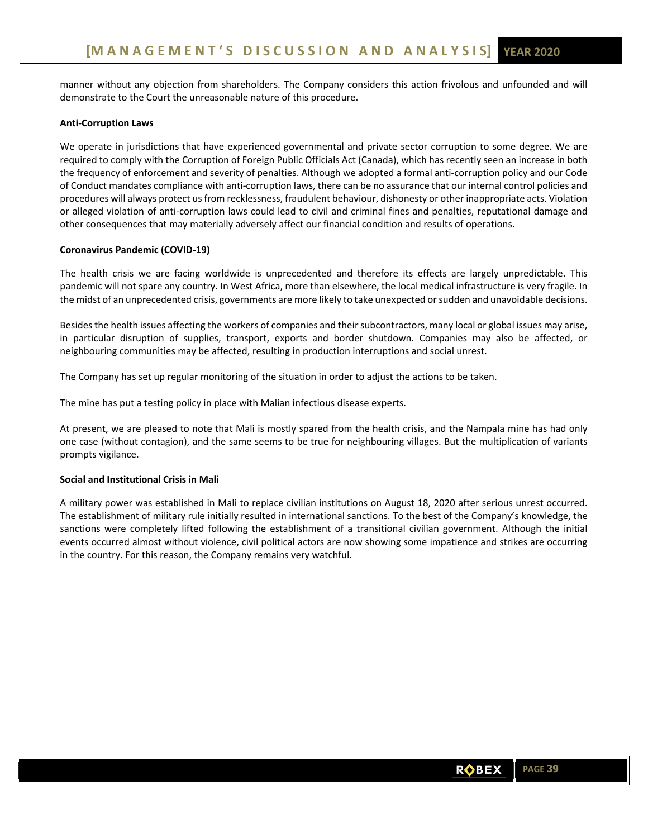manner without any objection from shareholders. The Company considers this action frivolous and unfounded and will demonstrate to the Court the unreasonable nature of this procedure.

## **Anti‐Corruption Laws**

We operate in jurisdictions that have experienced governmental and private sector corruption to some degree. We are required to comply with the Corruption of Foreign Public Officials Act (Canada), which has recently seen an increase in both the frequency of enforcement and severity of penalties. Although we adopted a formal anti‐corruption policy and our Code of Conduct mandates compliance with anti‐corruption laws, there can be no assurance that our internal control policies and procedures will always protect us from recklessness, fraudulent behaviour, dishonesty or other inappropriate acts. Violation or alleged violation of anti‐corruption laws could lead to civil and criminal fines and penalties, reputational damage and other consequences that may materially adversely affect our financial condition and results of operations.

# **Coronavirus Pandemic (COVID‐19)**

The health crisis we are facing worldwide is unprecedented and therefore its effects are largely unpredictable. This pandemic will not spare any country. In West Africa, more than elsewhere, the local medical infrastructure is very fragile. In the midst of an unprecedented crisis, governments are more likely to take unexpected or sudden and unavoidable decisions.

Besides the health issues affecting the workers of companies and their subcontractors, many local or global issues may arise, in particular disruption of supplies, transport, exports and border shutdown. Companies may also be affected, or neighbouring communities may be affected, resulting in production interruptions and social unrest.

The Company has set up regular monitoring of the situation in order to adjust the actions to be taken.

The mine has put a testing policy in place with Malian infectious disease experts.

At present, we are pleased to note that Mali is mostly spared from the health crisis, and the Nampala mine has had only one case (without contagion), and the same seems to be true for neighbouring villages. But the multiplication of variants prompts vigilance.

# **Social and Institutional Crisis in Mali**

A military power was established in Mali to replace civilian institutions on August 18, 2020 after serious unrest occurred. The establishment of military rule initially resulted in international sanctions. To the best of the Company's knowledge, the sanctions were completely lifted following the establishment of a transitional civilian government. Although the initial events occurred almost without violence, civil political actors are now showing some impatience and strikes are occurring in the country. For this reason, the Company remains very watchful.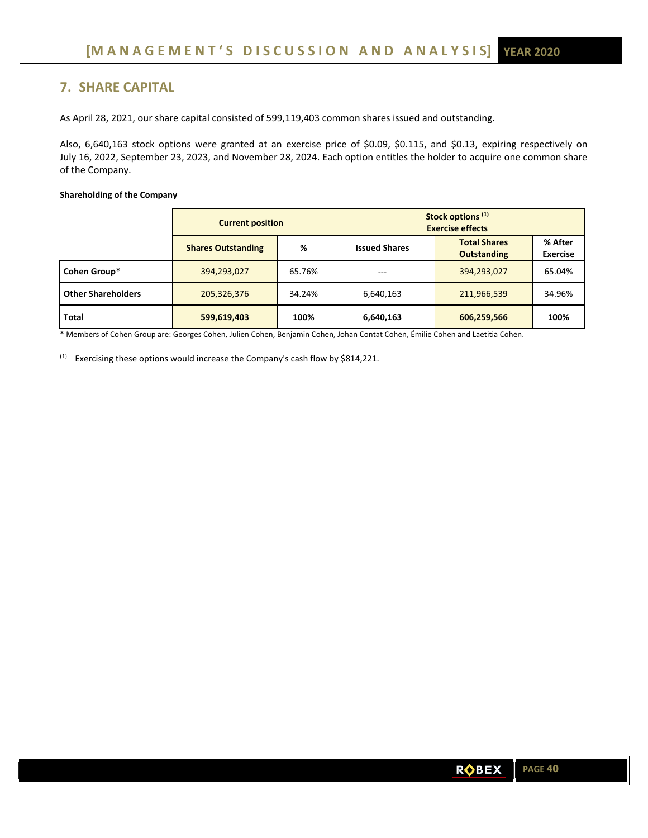# **7. SHARE CAPITAL**

As April 28, 2021, our share capital consisted of 599,119,403 common shares issued and outstanding.

Also, 6,640,163 stock options were granted at an exercise price of \$0.09, \$0.115, and \$0.13, expiring respectively on July 16, 2022, September 23, 2023, and November 28, 2024. Each option entitles the holder to acquire one common share of the Company.

### **Shareholding of the Company**

|                           | <b>Current position</b>   |        | Stock options <sup>(1)</sup><br><b>Exercise effects</b> |                                           |                            |
|---------------------------|---------------------------|--------|---------------------------------------------------------|-------------------------------------------|----------------------------|
|                           | <b>Shares Outstanding</b> | %      | <b>Issued Shares</b>                                    | <b>Total Shares</b><br><b>Outstanding</b> | % After<br><b>Exercise</b> |
| Cohen Group*              | 394,293,027               | 65.76% | ---                                                     | 394,293,027                               | 65.04%                     |
| <b>Other Shareholders</b> | 205,326,376               | 34.24% | 6,640,163                                               | 211,966,539                               | 34.96%                     |
| <b>Total</b>              | 599,619,403               | 100%   | 6,640,163                                               | 606,259,566                               | 100%                       |

\* Members of Cohen Group are: Georges Cohen, Julien Cohen, Benjamin Cohen, Johan Contat Cohen, Émilie Cohen and Laetitia Cohen.

 $(1)$  Exercising these options would increase the Company's cash flow by \$814,221.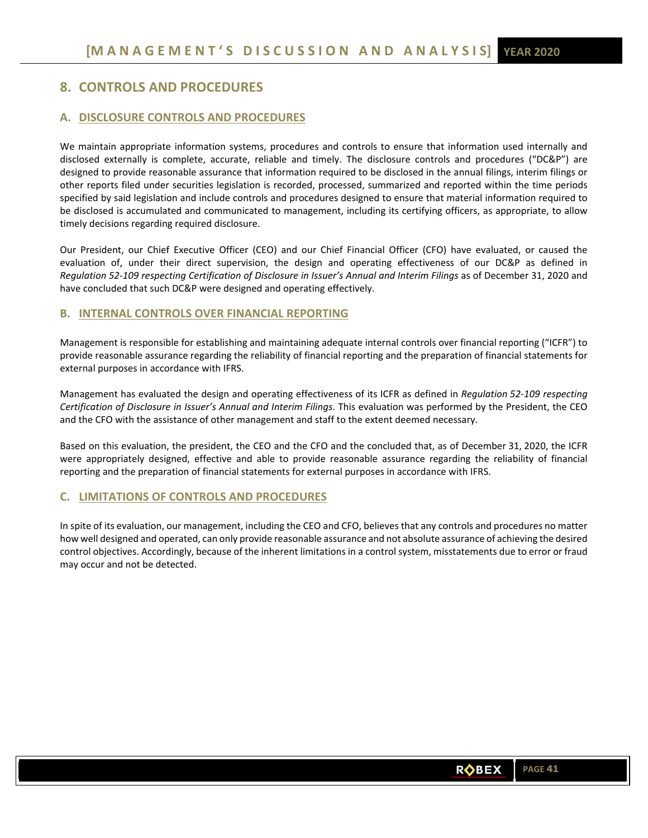# **8. CONTROLS AND PROCEDURES**

# **A. DISCLOSURE CONTROLS AND PROCEDURES**

We maintain appropriate information systems, procedures and controls to ensure that information used internally and disclosed externally is complete, accurate, reliable and timely. The disclosure controls and procedures ("DC&P") are designed to provide reasonable assurance that information required to be disclosed in the annual filings, interim filings or other reports filed under securities legislation is recorded, processed, summarized and reported within the time periods specified by said legislation and include controls and procedures designed to ensure that material information required to be disclosed is accumulated and communicated to management, including its certifying officers, as appropriate, to allow timely decisions regarding required disclosure.

Our President, our Chief Executive Officer (CEO) and our Chief Financial Officer (CFO) have evaluated, or caused the evaluation of, under their direct supervision, the design and operating effectiveness of our DC&P as defined in *Regulation 52‐109 respecting Certification of Disclosure in Issuer's Annual and Interim Filings* as of December 31, 2020 and have concluded that such DC&P were designed and operating effectively.

# **B. INTERNAL CONTROLS OVER FINANCIAL REPORTING**

Management is responsible for establishing and maintaining adequate internal controls over financial reporting ("ICFR") to provide reasonable assurance regarding the reliability of financial reporting and the preparation of financial statements for external purposes in accordance with IFRS.

Management has evaluated the design and operating effectiveness of its ICFR as defined in *Regulation 52‐109 respecting Certification of Disclosure in Issuer's Annual and Interim Filings*. This evaluation was performed by the President, the CEO and the CFO with the assistance of other management and staff to the extent deemed necessary.

Based on this evaluation, the president, the CEO and the CFO and the concluded that, as of December 31, 2020, the ICFR were appropriately designed, effective and able to provide reasonable assurance regarding the reliability of financial reporting and the preparation of financial statements for external purposes in accordance with IFRS.

# **C. LIMITATIONS OF CONTROLS AND PROCEDURES**

In spite of its evaluation, our management, including the CEO and CFO, believes that any controls and procedures no matter how well designed and operated, can only provide reasonable assurance and not absolute assurance of achieving the desired control objectives. Accordingly, because of the inherent limitations in a control system, misstatements due to error or fraud may occur and not be detected.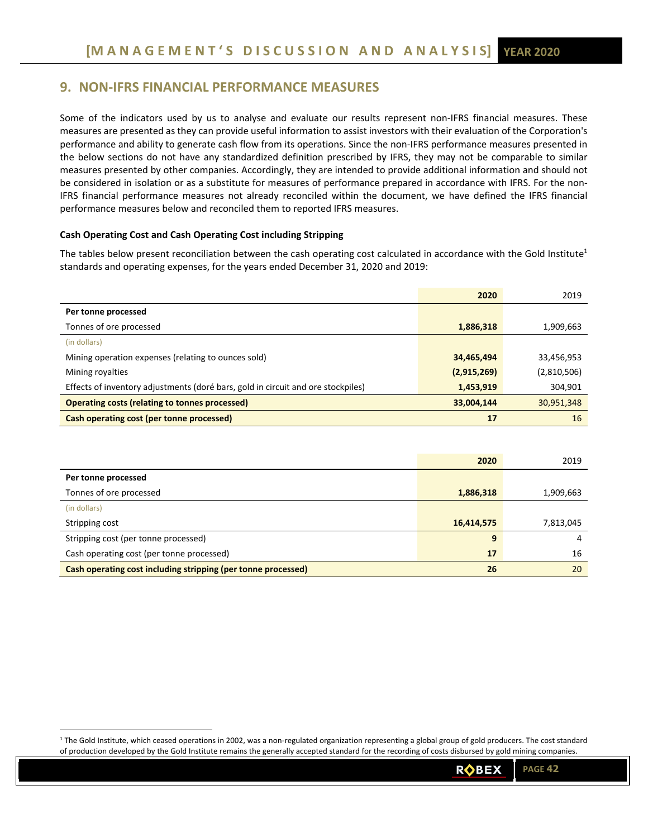# **9. NON‐IFRS FINANCIAL PERFORMANCE MEASURES**

Some of the indicators used by us to analyse and evaluate our results represent non-IFRS financial measures. These measures are presented as they can provide useful information to assist investors with their evaluation of the Corporation's performance and ability to generate cash flow from its operations. Since the non-IFRS performance measures presented in the below sections do not have any standardized definition prescribed by IFRS, they may not be comparable to similar measures presented by other companies. Accordingly, they are intended to provide additional information and should not be considered in isolation or as a substitute for measures of performance prepared in accordance with IFRS. For the non-IFRS financial performance measures not already reconciled within the document, we have defined the IFRS financial performance measures below and reconciled them to reported IFRS measures.

### **Cash Operating Cost and Cash Operating Cost including Stripping**

The tables below present reconciliation between the cash operating cost calculated in accordance with the Gold Institute<sup>1</sup> standards and operating expenses, for the years ended December 31, 2020 and 2019:

|                                                                                  | 2020        | 2019        |
|----------------------------------------------------------------------------------|-------------|-------------|
| Per tonne processed                                                              |             |             |
| Tonnes of ore processed                                                          | 1,886,318   | 1,909,663   |
| (in dollars)                                                                     |             |             |
| Mining operation expenses (relating to ounces sold)                              | 34,465,494  | 33,456,953  |
| Mining royalties                                                                 | (2,915,269) | (2,810,506) |
| Effects of inventory adjustments (doré bars, gold in circuit and ore stockpiles) | 1,453,919   | 304,901     |
| <b>Operating costs (relating to tonnes processed)</b>                            | 33,004,144  | 30,951,348  |
| Cash operating cost (per tonne processed)                                        | 17          | 16          |

|                                                               | 2020       | 2019      |
|---------------------------------------------------------------|------------|-----------|
| Per tonne processed                                           |            |           |
| Tonnes of ore processed                                       | 1,886,318  | 1,909,663 |
| (in dollars)                                                  |            |           |
| Stripping cost                                                | 16,414,575 | 7,813,045 |
| Stripping cost (per tonne processed)                          | 9          |           |
| Cash operating cost (per tonne processed)                     | 17         | 16        |
| Cash operating cost including stripping (per tonne processed) | 26         | 20        |

<sup>&</sup>lt;sup>1</sup> The Gold Institute, which ceased operations in 2002, was a non-regulated organization representing a global group of gold producers. The cost standard of production developed by the Gold Institute remains the generally accepted standard for the recording of costs disbursed by gold mining companies.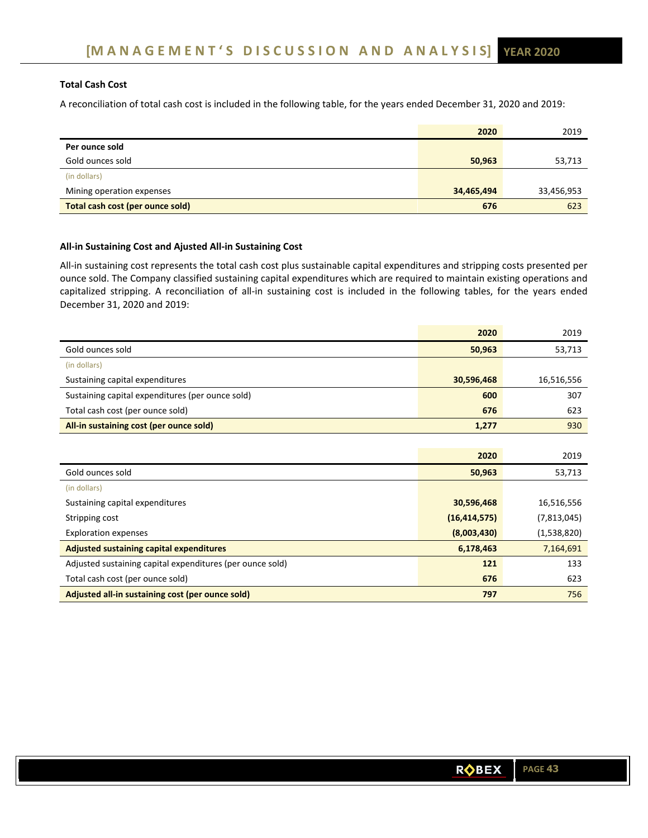# **Total Cash Cost**

A reconciliation of total cash cost is included in the following table, for the years ended December 31, 2020 and 2019:

|                                  | 2020       | 2019       |
|----------------------------------|------------|------------|
| Per ounce sold                   |            |            |
| Gold ounces sold                 | 50,963     | 53,713     |
| (in dollars)                     |            |            |
| Mining operation expenses        | 34,465,494 | 33,456,953 |
| Total cash cost (per ounce sold) | 676        | 623        |

# **All‐in Sustaining Cost and Ajusted All‐in Sustaining Cost**

All-in sustaining cost represents the total cash cost plus sustainable capital expenditures and stripping costs presented per ounce sold. The Company classified sustaining capital expenditures which are required to maintain existing operations and capitalized stripping. A reconciliation of all-in sustaining cost is included in the following tables, for the years ended December 31, 2020 and 2019:

|                                                  | 2020       | 2019       |
|--------------------------------------------------|------------|------------|
| Gold ounces sold                                 | 50,963     | 53,713     |
| (in dollars)                                     |            |            |
| Sustaining capital expenditures                  | 30,596,468 | 16,516,556 |
| Sustaining capital expenditures (per ounce sold) | 600        | 307        |
| Total cash cost (per ounce sold)                 | 676        | 623        |
| All-in sustaining cost (per ounce sold)          | 1,277      | 930        |
|                                                  |            |            |
|                                                  | 2020       | 2019       |

| 50,963         | 53,713      |
|----------------|-------------|
|                |             |
| 30,596,468     | 16,516,556  |
| (16, 414, 575) | (7,813,045) |
| (8,003,430)    | (1,538,820) |
| 6,178,463      | 7,164,691   |
| 121            | 133         |
| 676            | 623         |
| 797            | 756         |
|                |             |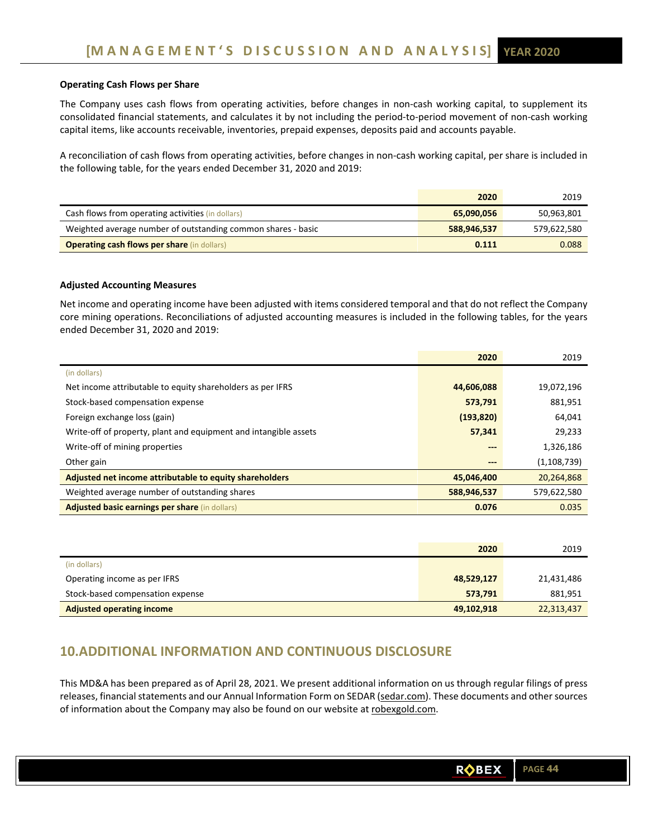# **Operating Cash Flows per Share**

The Company uses cash flows from operating activities, before changes in non-cash working capital, to supplement its consolidated financial statements, and calculates it by not including the period‐to‐period movement of non‐cash working capital items, like accounts receivable, inventories, prepaid expenses, deposits paid and accounts payable.

A reconciliation of cash flows from operating activities, before changes in non‐cash working capital, per share is included in the following table, for the years ended December 31, 2020 and 2019:

|                                                              | 2020        | 2019        |
|--------------------------------------------------------------|-------------|-------------|
| Cash flows from operating activities (in dollars)            | 65,090,056  | 50,963,801  |
| Weighted average number of outstanding common shares - basic | 588,946,537 | 579,622,580 |
| <b>Operating cash flows per share (in dollars)</b>           | 0.111       | 0.088       |

### **Adjusted Accounting Measures**

Net income and operating income have been adjusted with items considered temporal and that do not reflect the Company core mining operations. Reconciliations of adjusted accounting measures is included in the following tables, for the years ended December 31, 2020 and 2019:

|                                                                  | 2020        | 2019          |
|------------------------------------------------------------------|-------------|---------------|
| (in dollars)                                                     |             |               |
| Net income attributable to equity shareholders as per IFRS       | 44,606,088  | 19,072,196    |
| Stock-based compensation expense                                 | 573,791     | 881,951       |
| Foreign exchange loss (gain)                                     | (193, 820)  | 64,041        |
| Write-off of property, plant and equipment and intangible assets | 57,341      | 29,233        |
| Write-off of mining properties                                   | $--$        | 1,326,186     |
| Other gain                                                       | ---         | (1, 108, 739) |
| Adjusted net income attributable to equity shareholders          | 45,046,400  | 20,264,868    |
| Weighted average number of outstanding shares                    | 588,946,537 | 579,622,580   |
| <b>Adjusted basic earnings per share (in dollars)</b>            | 0.076       | 0.035         |

|                                  | 2020       | 2019       |
|----------------------------------|------------|------------|
| (in dollars)                     |            |            |
| Operating income as per IFRS     | 48,529,127 | 21,431,486 |
| Stock-based compensation expense | 573.791    | 881,951    |
| <b>Adjusted operating income</b> | 49,102,918 | 22,313,437 |

# **10.ADDITIONAL INFORMATION AND CONTINUOUS DISCLOSURE**

This MD&A has been prepared as of April 28, 2021. We present additional information on us through regular filings of press releases, financial statements and our Annual Information Form on SEDAR (sedar.com). These documents and other sources of information about the Company may also be found on our website at robexgold.com.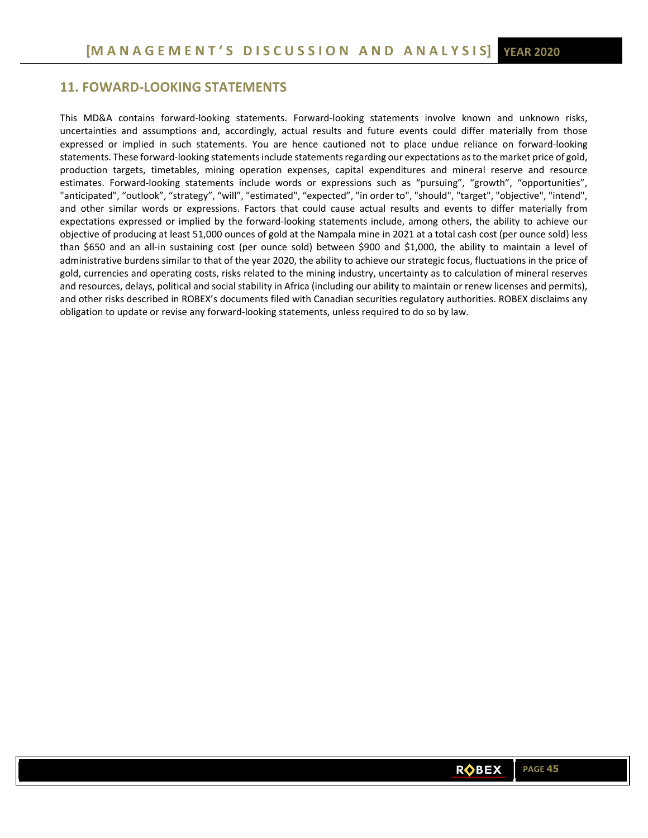# **11. FOWARD‐LOOKING STATEMENTS**

This MD&A contains forward-looking statements. Forward-looking statements involve known and unknown risks, uncertainties and assumptions and, accordingly, actual results and future events could differ materially from those expressed or implied in such statements. You are hence cautioned not to place undue reliance on forward-looking statements. These forward‐looking statements include statements regarding our expectations as to the market price of gold, production targets, timetables, mining operation expenses, capital expenditures and mineral reserve and resource estimates. Forward-looking statements include words or expressions such as "pursuing", "growth", "opportunities", "anticipated", "outlook", "strategy", "will", "estimated", "expected", "in order to", "should", "target", "objective", "intend", and other similar words or expressions. Factors that could cause actual results and events to differ materially from expectations expressed or implied by the forward-looking statements include, among others, the ability to achieve our objective of producing at least 51,000 ounces of gold at the Nampala mine in 2021 at a total cash cost (per ounce sold) less than \$650 and an all-in sustaining cost (per ounce sold) between \$900 and \$1,000, the ability to maintain a level of administrative burdens similar to that of the year 2020, the ability to achieve our strategic focus, fluctuations in the price of gold, currencies and operating costs, risks related to the mining industry, uncertainty as to calculation of mineral reserves and resources, delays, political and social stability in Africa (including our ability to maintain or renew licenses and permits), and other risks described in ROBEX's documents filed with Canadian securities regulatory authorities. ROBEX disclaims any obligation to update or revise any forward‐looking statements, unless required to do so by law.